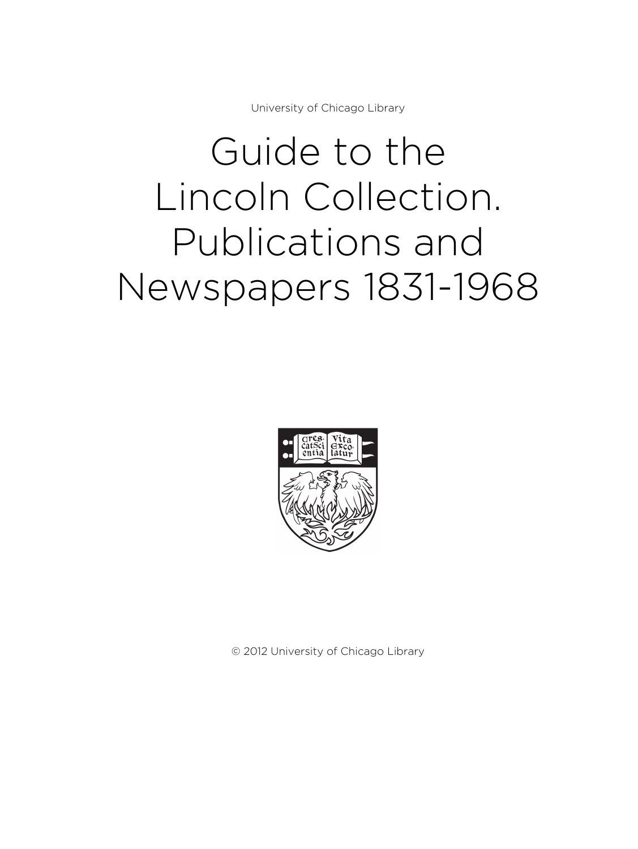University of Chicago Library

# Guide to the Lincoln Collection. Publications and Newspapers 1831-1968



© 2012 University of Chicago Library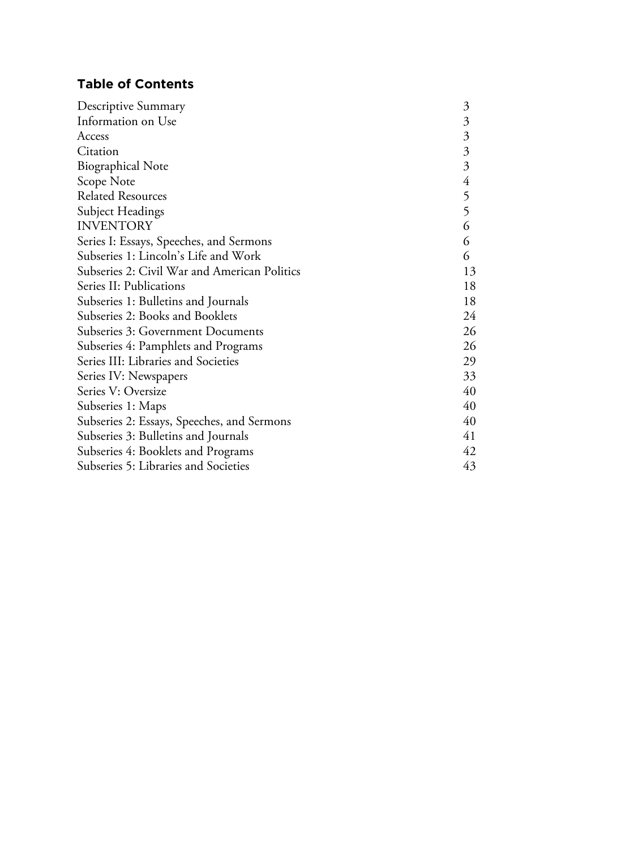# **Table of Contents**

| Descriptive Summary                          | $\mathfrak{Z}$            |
|----------------------------------------------|---------------------------|
| Information on Use                           | $\mathfrak{Z}$            |
| Access                                       | $\mathfrak{Z}$            |
| Citation                                     | $\mathfrak{Z}$            |
| <b>Biographical Note</b>                     | $\overline{\mathfrak{Z}}$ |
| Scope Note                                   | $\overline{4}$            |
| <b>Related Resources</b>                     | 5                         |
| Subject Headings                             | 5                         |
| <b>INVENTORY</b>                             | 6                         |
| Series I: Essays, Speeches, and Sermons      | 6                         |
| Subseries 1: Lincoln's Life and Work         | 6                         |
| Subseries 2: Civil War and American Politics | 13                        |
| Series II: Publications                      | 18                        |
| Subseries 1: Bulletins and Journals          | 18                        |
| Subseries 2: Books and Booklets              | 24                        |
| Subseries 3: Government Documents            | 26                        |
| Subseries 4: Pamphlets and Programs          | 26                        |
| Series III: Libraries and Societies          | 29                        |
| Series IV: Newspapers                        | 33                        |
| Series V: Oversize                           | 40                        |
| Subseries 1: Maps                            | 40                        |
| Subseries 2: Essays, Speeches, and Sermons   | 40                        |
| Subseries 3: Bulletins and Journals          | 41                        |
| Subseries 4: Booklets and Programs           | 42                        |
| Subseries 5: Libraries and Societies         | 43                        |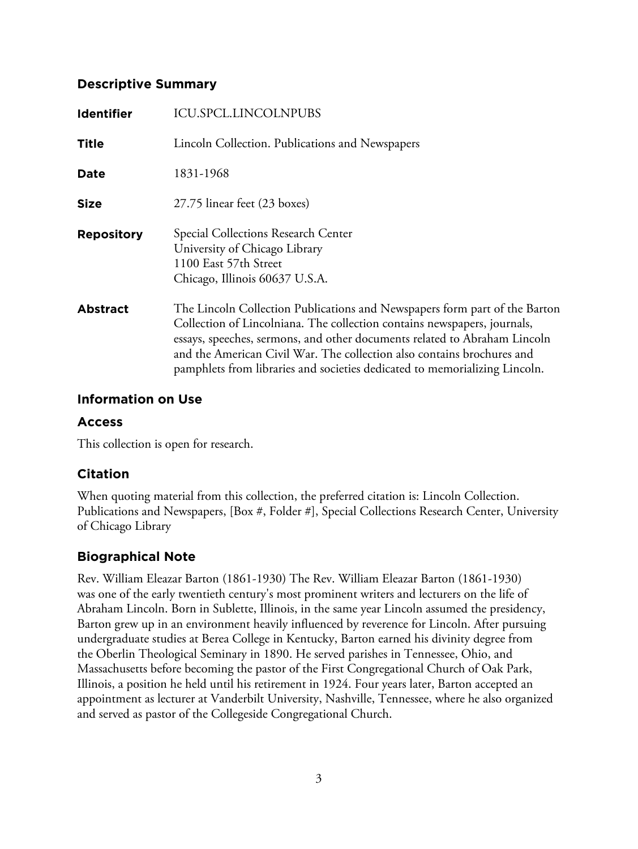### **Descriptive Summary**

| Identifier        | <b>ICU.SPCL.LINCOLNPUBS</b>                                                                                                                                                                                                                                                                                   |
|-------------------|---------------------------------------------------------------------------------------------------------------------------------------------------------------------------------------------------------------------------------------------------------------------------------------------------------------|
| <b>Title</b>      | Lincoln Collection. Publications and Newspapers                                                                                                                                                                                                                                                               |
| Date              | 1831-1968                                                                                                                                                                                                                                                                                                     |
| <b>Size</b>       | 27.75 linear feet (23 boxes)                                                                                                                                                                                                                                                                                  |
| <b>Repository</b> | Special Collections Research Center<br>University of Chicago Library<br>1100 East 57th Street<br>Chicago, Illinois 60637 U.S.A.                                                                                                                                                                               |
| <b>Abstract</b>   | The Lincoln Collection Publications and Newspapers form part of the Barton<br>Collection of Lincolniana. The collection contains newspapers, journals,<br>essays, speeches, sermons, and other documents related to Abraham Lincoln<br>and the American Civil War. The collection also contains brochures and |

### **Information on Use**

### **Access**

This collection is open for research.

### **Citation**

When quoting material from this collection, the preferred citation is: Lincoln Collection. Publications and Newspapers, [Box #, Folder #], Special Collections Research Center, University of Chicago Library

pamphlets from libraries and societies dedicated to memorializing Lincoln.

### **Biographical Note**

Rev. William Eleazar Barton (1861-1930) The Rev. William Eleazar Barton (1861-1930) was one of the early twentieth century's most prominent writers and lecturers on the life of Abraham Lincoln. Born in Sublette, Illinois, in the same year Lincoln assumed the presidency, Barton grew up in an environment heavily influenced by reverence for Lincoln. After pursuing undergraduate studies at Berea College in Kentucky, Barton earned his divinity degree from the Oberlin Theological Seminary in 1890. He served parishes in Tennessee, Ohio, and Massachusetts before becoming the pastor of the First Congregational Church of Oak Park, Illinois, a position he held until his retirement in 1924. Four years later, Barton accepted an appointment as lecturer at Vanderbilt University, Nashville, Tennessee, where he also organized and served as pastor of the Collegeside Congregational Church.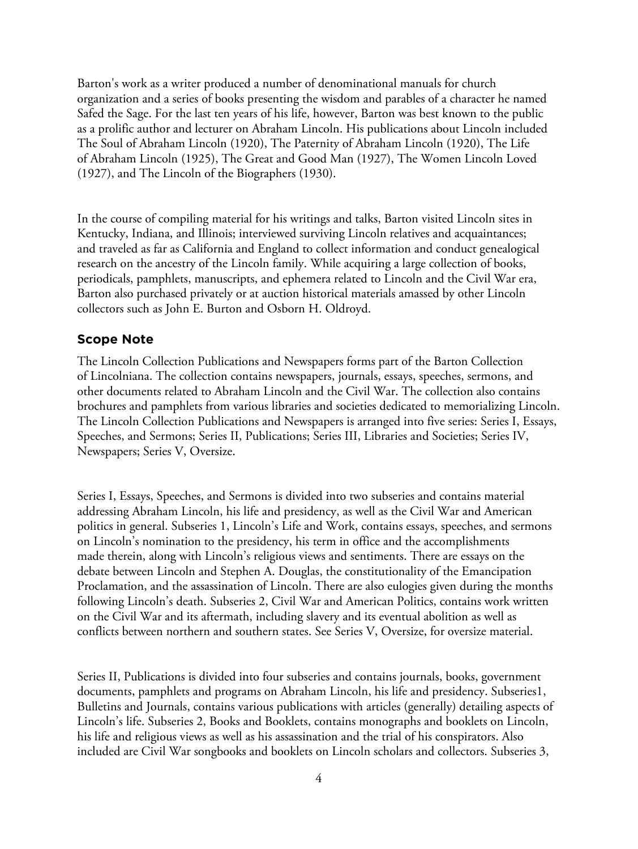Barton's work as a writer produced a number of denominational manuals for church organization and a series of books presenting the wisdom and parables of a character he named Safed the Sage. For the last ten years of his life, however, Barton was best known to the public as a prolific author and lecturer on Abraham Lincoln. His publications about Lincoln included The Soul of Abraham Lincoln (1920), The Paternity of Abraham Lincoln (1920), The Life of Abraham Lincoln (1925), The Great and Good Man (1927), The Women Lincoln Loved (1927), and The Lincoln of the Biographers (1930).

In the course of compiling material for his writings and talks, Barton visited Lincoln sites in Kentucky, Indiana, and Illinois; interviewed surviving Lincoln relatives and acquaintances; and traveled as far as California and England to collect information and conduct genealogical research on the ancestry of the Lincoln family. While acquiring a large collection of books, periodicals, pamphlets, manuscripts, and ephemera related to Lincoln and the Civil War era, Barton also purchased privately or at auction historical materials amassed by other Lincoln collectors such as John E. Burton and Osborn H. Oldroyd.

#### **Scope Note**

The Lincoln Collection Publications and Newspapers forms part of the Barton Collection of Lincolniana. The collection contains newspapers, journals, essays, speeches, sermons, and other documents related to Abraham Lincoln and the Civil War. The collection also contains brochures and pamphlets from various libraries and societies dedicated to memorializing Lincoln. The Lincoln Collection Publications and Newspapers is arranged into five series: Series I, Essays, Speeches, and Sermons; Series II, Publications; Series III, Libraries and Societies; Series IV, Newspapers; Series V, Oversize.

Series I, Essays, Speeches, and Sermons is divided into two subseries and contains material addressing Abraham Lincoln, his life and presidency, as well as the Civil War and American politics in general. Subseries 1, Lincoln's Life and Work, contains essays, speeches, and sermons on Lincoln's nomination to the presidency, his term in office and the accomplishments made therein, along with Lincoln's religious views and sentiments. There are essays on the debate between Lincoln and Stephen A. Douglas, the constitutionality of the Emancipation Proclamation, and the assassination of Lincoln. There are also eulogies given during the months following Lincoln's death. Subseries 2, Civil War and American Politics, contains work written on the Civil War and its aftermath, including slavery and its eventual abolition as well as conflicts between northern and southern states. See Series V, Oversize, for oversize material.

Series II, Publications is divided into four subseries and contains journals, books, government documents, pamphlets and programs on Abraham Lincoln, his life and presidency. Subseries1, Bulletins and Journals, contains various publications with articles (generally) detailing aspects of Lincoln's life. Subseries 2, Books and Booklets, contains monographs and booklets on Lincoln, his life and religious views as well as his assassination and the trial of his conspirators. Also included are Civil War songbooks and booklets on Lincoln scholars and collectors. Subseries 3,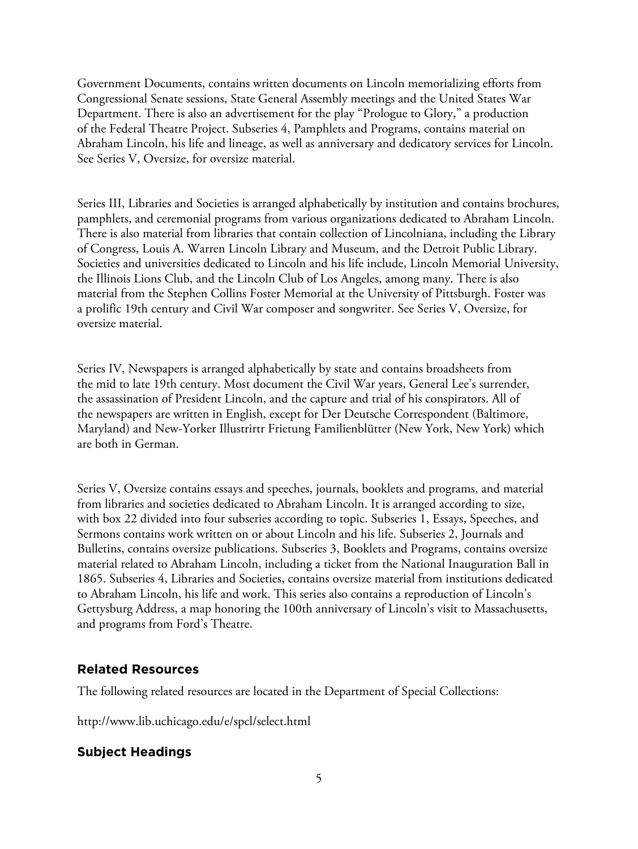Government Documents, contains written documents on Lincoln memorializing efforts from Congressional Senate sessions, State General Assembly meetings and the United States War Department. There is also an advertisement for the play "Prologue to Glory," a production of the Federal Theatre Project. Subseries 4, Pamphlets and Programs, contains material on Abraham Lincoln, his life and lineage, as well as anniversary and dedicatory services for Lincoln. See Series V, Oversize, for oversize material.

Series III, Libraries and Societies is arranged alphabetically by institution and contains brochures, pamphlets, and ceremonial programs from various organizations dedicated to Abraham Lincoln. There is also material from libraries that contain collection of Lincolniana, including the Library of Congress, Louis A. Warren Lincoln Library and Museum, and the Detroit Public Library. Societies and universities dedicated to Lincoln and his life include, Lincoln Memorial University, the Illinois Lions Club, and the Lincoln Club of Los Angeles, among many. There is also material from the Stephen Collins Foster Memorial at the University of Pittsburgh. Foster was a prolific 19th century and Civil War composer and songwriter. See Series V, Oversize, for oversize material.

Series IV, Newspapers is arranged alphabetically by state and contains broadsheets from the mid to late 19th century. Most document the Civil War years, General Lee's surrender, the assassination of President Lincoln, and the capture and trial of his conspirators. All of the newspapers are written in English, except for Der Deutsche Correspondent (Baltimore, Maryland) and New-Yorker Illustrirtr Frietung Familienblütter (New York, New York) which are both in German.

Series V, Oversize contains essays and speeches, journals, booklets and programs, and material from libraries and societies dedicated to Abraham Lincoln. It is arranged according to size, with box 22 divided into four subseries according to topic. Subseries 1, Essays, Speeches, and Sermons contains work written on or about Lincoln and his life. Subseries 2, Journals and Bulletins, contains oversize publications. Subseries 3, Booklets and Programs, contains oversize material related to Abraham Lincoln, including a ticket from the National Inauguration Ball in 1865. Subseries 4, Libraries and Societies, contains oversize material from institutions dedicated to Abraham Lincoln, his life and work. This series also contains a reproduction of Lincoln's Gettysburg Address, a map honoring the 100th anniversary of Lincoln's visit to Massachusetts, and programs from Ford's Theatre.

### **Related Resources**

The following related resources are located in the Department of Special Collections:

http://www.lib.uchicago.edu/e/spcl/select.html

### **Subject Headings**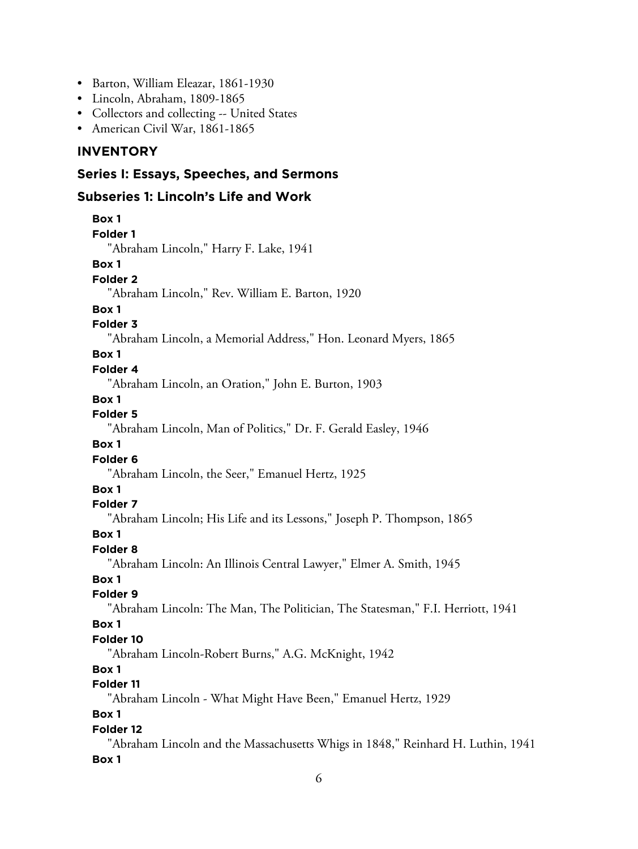- Barton, William Eleazar, 1861-1930
- Lincoln, Abraham, 1809-1865
- Collectors and collecting -- United States
- American Civil War, 1861-1865

### **INVENTORY**

### **Series I: Essays, Speeches, and Sermons**

### **Subseries 1: Lincoln's Life and Work**

| Box 1                                                                           |
|---------------------------------------------------------------------------------|
| <b>Folder 1</b>                                                                 |
| "Abraham Lincoln," Harry F. Lake, 1941                                          |
| Box 1                                                                           |
| Folder <sub>2</sub>                                                             |
| "Abraham Lincoln," Rev. William E. Barton, 1920                                 |
| Box 1                                                                           |
| <b>Folder 3</b>                                                                 |
| "Abraham Lincoln, a Memorial Address," Hon. Leonard Myers, 1865                 |
| Box 1                                                                           |
| Folder 4                                                                        |
| "Abraham Lincoln, an Oration," John E. Burton, 1903                             |
| Box 1                                                                           |
| <b>Folder 5</b>                                                                 |
| "Abraham Lincoln, Man of Politics," Dr. F. Gerald Easley, 1946                  |
| Box 1                                                                           |
| Folder 6                                                                        |
| "Abraham Lincoln, the Seer," Emanuel Hertz, 1925                                |
| Box 1                                                                           |
| Folder 7                                                                        |
| "Abraham Lincoln; His Life and its Lessons," Joseph P. Thompson, 1865           |
| Box 1<br>Folder <sub>8</sub>                                                    |
| "Abraham Lincoln: An Illinois Central Lawyer," Elmer A. Smith, 1945             |
| Box 1                                                                           |
| Folder 9                                                                        |
| "Abraham Lincoln: The Man, The Politician, The Statesman," F.I. Herriott, 1941  |
| Box 1                                                                           |
| Folder 10                                                                       |
| "Abraham Lincoln-Robert Burns," A.G. McKnight, 1942                             |
| Box 1                                                                           |
| Folder 11                                                                       |
| "Abraham Lincoln - What Might Have Been," Emanuel Hertz, 1929                   |
| Box 1                                                                           |
| Folder 12                                                                       |
| "Abraham Lincoln and the Massachusetts Whigs in 1848," Reinhard H. Luthin, 1941 |
| Box 1                                                                           |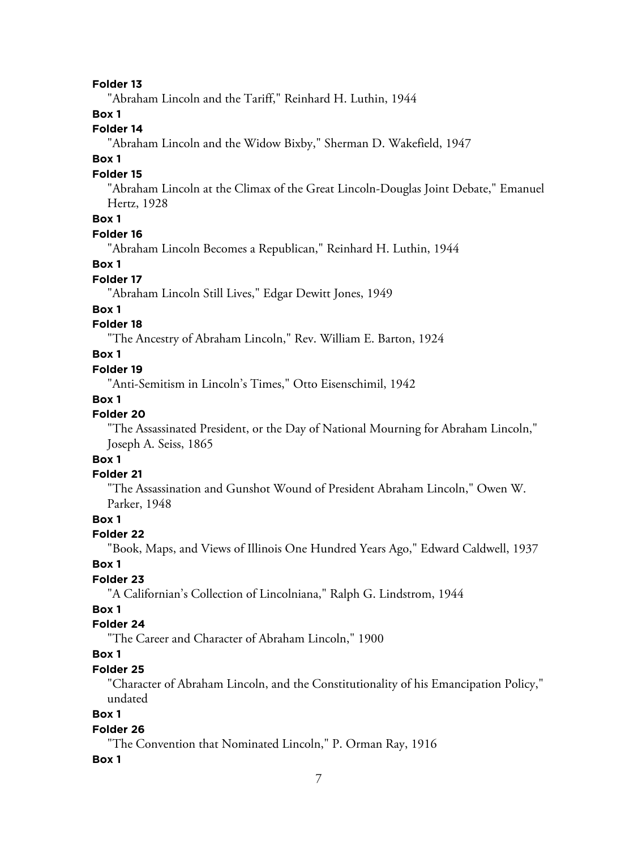#### **Folder 13**

"Abraham Lincoln and the Tariff," Reinhard H. Luthin, 1944

### **Box 1**

#### **Folder 14**

"Abraham Lincoln and the Widow Bixby," Sherman D. Wakefield, 1947

#### **Box 1**

#### **Folder 15**

"Abraham Lincoln at the Climax of the Great Lincoln-Douglas Joint Debate," Emanuel Hertz, 1928

### **Box 1**

#### **Folder 16**

"Abraham Lincoln Becomes a Republican," Reinhard H. Luthin, 1944

#### **Box 1**

#### **Folder 17**

"Abraham Lincoln Still Lives," Edgar Dewitt Jones, 1949

#### **Box 1**

### **Folder 18**

"The Ancestry of Abraham Lincoln," Rev. William E. Barton, 1924

#### **Box 1**

#### **Folder 19**

"Anti-Semitism in Lincoln's Times," Otto Eisenschimil, 1942

#### **Box 1**

### **Folder 20**

"The Assassinated President, or the Day of National Mourning for Abraham Lincoln," Joseph A. Seiss, 1865

### **Box 1**

### **Folder 21**

"The Assassination and Gunshot Wound of President Abraham Lincoln," Owen W. Parker, 1948

### **Box 1**

#### **Folder 22**

"Book, Maps, and Views of Illinois One Hundred Years Ago," Edward Caldwell, 1937

#### **Box 1**

### **Folder 23**

"A Californian's Collection of Lincolniana," Ralph G. Lindstrom, 1944

### **Box 1**

### **Folder 24**

"The Career and Character of Abraham Lincoln," 1900

### **Box 1**

#### **Folder 25**

"Character of Abraham Lincoln, and the Constitutionality of his Emancipation Policy," undated

### **Box 1**

#### **Folder 26**

"The Convention that Nominated Lincoln," P. Orman Ray, 1916

#### **Box 1**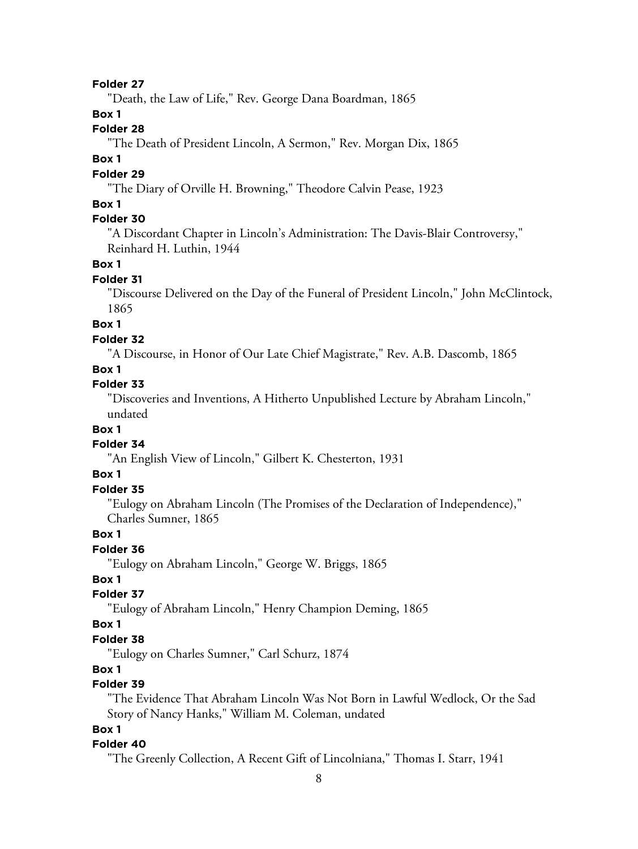#### **Folder 27**

"Death, the Law of Life," Rev. George Dana Boardman, 1865

### **Box 1**

### **Folder 28**

"The Death of President Lincoln, A Sermon," Rev. Morgan Dix, 1865

#### **Box 1**

#### **Folder 29**

"The Diary of Orville H. Browning," Theodore Calvin Pease, 1923

#### **Box 1**

### **Folder 30**

"A Discordant Chapter in Lincoln's Administration: The Davis-Blair Controversy," Reinhard H. Luthin, 1944

#### **Box 1**

#### **Folder 31**

"Discourse Delivered on the Day of the Funeral of President Lincoln," John McClintock, 1865

### **Box 1**

#### **Folder 32**

"A Discourse, in Honor of Our Late Chief Magistrate," Rev. A.B. Dascomb, 1865

### **Box 1**

#### **Folder 33**

"Discoveries and Inventions, A Hitherto Unpublished Lecture by Abraham Lincoln," undated

#### **Box 1**

#### **Folder 34**

"An English View of Lincoln," Gilbert K. Chesterton, 1931

#### **Box 1**

### **Folder 35**

"Eulogy on Abraham Lincoln (The Promises of the Declaration of Independence)," Charles Sumner, 1865

### **Box 1**

#### **Folder 36**

"Eulogy on Abraham Lincoln," George W. Briggs, 1865

#### **Box 1**

### **Folder 37**

"Eulogy of Abraham Lincoln," Henry Champion Deming, 1865

#### **Box 1**

#### **Folder 38**

"Eulogy on Charles Sumner," Carl Schurz, 1874

#### **Box 1**

### **Folder 39**

"The Evidence That Abraham Lincoln Was Not Born in Lawful Wedlock, Or the Sad Story of Nancy Hanks," William M. Coleman, undated

### **Box 1**

#### **Folder 40**

"The Greenly Collection, A Recent Gift of Lincolniana," Thomas I. Starr, 1941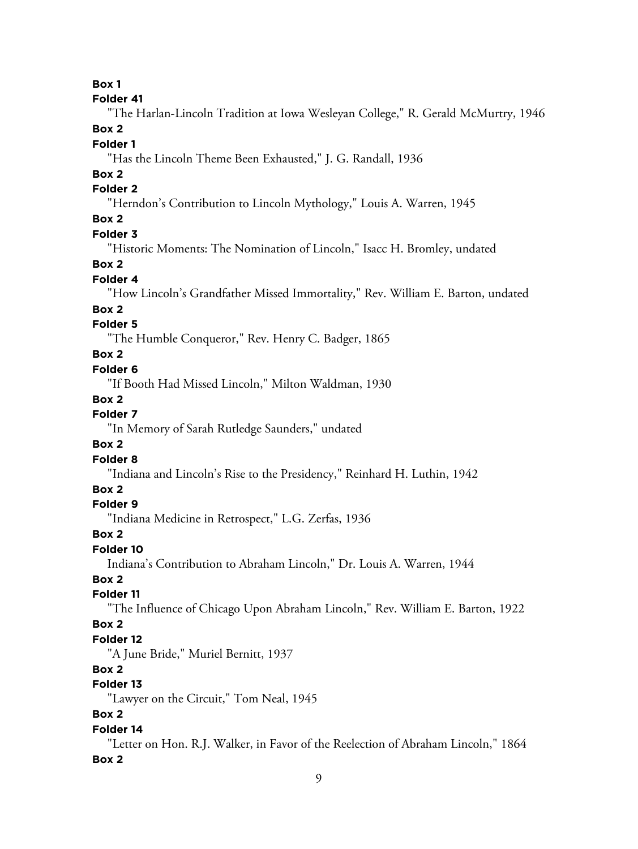**Box 1**

#### **Folder 41**

"The Harlan-Lincoln Tradition at Iowa Wesleyan College," R. Gerald McMurtry, 1946 **Box 2**

**Folder 1**

"Has the Lincoln Theme Been Exhausted," J. G. Randall, 1936

### **Box 2**

### **Folder 2**

"Herndon's Contribution to Lincoln Mythology," Louis A. Warren, 1945

### **Box 2**

### **Folder 3**

"Historic Moments: The Nomination of Lincoln," Isacc H. Bromley, undated

#### **Box 2**

#### **Folder 4**

"How Lincoln's Grandfather Missed Immortality," Rev. William E. Barton, undated

#### **Box 2**

### **Folder 5**

"The Humble Conqueror," Rev. Henry C. Badger, 1865

### **Box 2**

### **Folder 6**

"If Booth Had Missed Lincoln," Milton Waldman, 1930

#### **Box 2**

### **Folder 7**

"In Memory of Sarah Rutledge Saunders," undated

### **Box 2**

### **Folder 8**

"Indiana and Lincoln's Rise to the Presidency," Reinhard H. Luthin, 1942

### **Box 2**

#### **Folder 9**

"Indiana Medicine in Retrospect," L.G. Zerfas, 1936

#### **Box 2**

### **Folder 10**

Indiana's Contribution to Abraham Lincoln," Dr. Louis A. Warren, 1944

### **Box 2**

### **Folder 11**

"The Influence of Chicago Upon Abraham Lincoln," Rev. William E. Barton, 1922

### **Box 2**

#### **Folder 12**

"A June Bride," Muriel Bernitt, 1937

### **Box 2**

### **Folder 13**

"Lawyer on the Circuit," Tom Neal, 1945

### **Box 2**

#### **Folder 14**

"Letter on Hon. R.J. Walker, in Favor of the Reelection of Abraham Lincoln," 1864 **Box 2**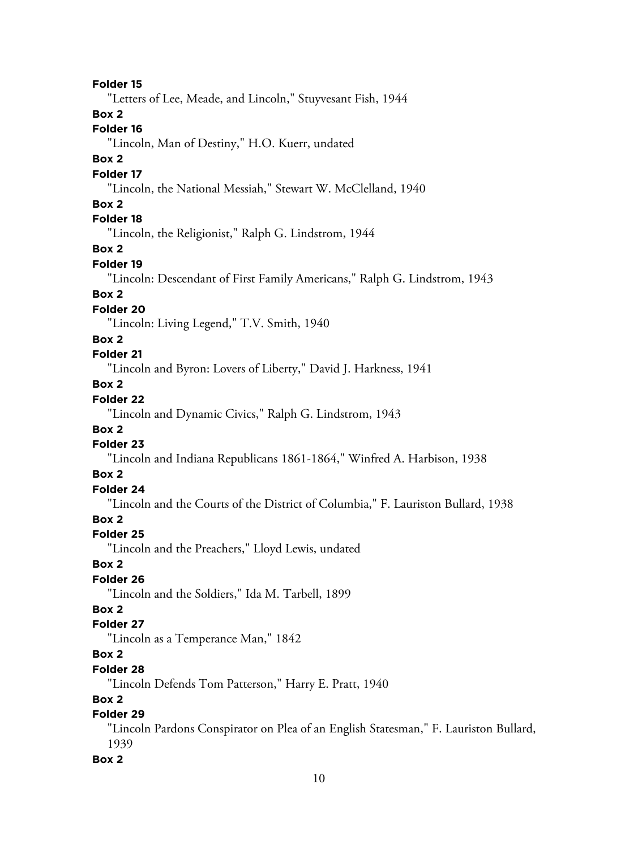**Folder 15**

"Letters of Lee, Meade, and Lincoln," Stuyvesant Fish, 1944

**Box 2**

### **Folder 16**

"Lincoln, Man of Destiny," H.O. Kuerr, undated

#### **Box 2**

#### **Folder 17**

"Lincoln, the National Messiah," Stewart W. McClelland, 1940

### **Box 2**

### **Folder 18**

"Lincoln, the Religionist," Ralph G. Lindstrom, 1944

### **Box 2**

### **Folder 19**

"Lincoln: Descendant of First Family Americans," Ralph G. Lindstrom, 1943

### **Box 2**

#### **Folder 20**

"Lincoln: Living Legend," T.V. Smith, 1940

#### **Box 2**

### **Folder 21**

"Lincoln and Byron: Lovers of Liberty," David J. Harkness, 1941

### **Box 2**

### **Folder 22**

"Lincoln and Dynamic Civics," Ralph G. Lindstrom, 1943

### **Box 2**

### **Folder 23**

"Lincoln and Indiana Republicans 1861-1864," Winfred A. Harbison, 1938

### **Box 2**

### **Folder 24**

"Lincoln and the Courts of the District of Columbia," F. Lauriston Bullard, 1938

### **Box 2**

### **Folder 25**

"Lincoln and the Preachers," Lloyd Lewis, undated

#### **Box 2**

### **Folder 26**

"Lincoln and the Soldiers," Ida M. Tarbell, 1899

### **Box 2**

#### **Folder 27**

"Lincoln as a Temperance Man," 1842

### **Box 2**

#### **Folder 28**

"Lincoln Defends Tom Patterson," Harry E. Pratt, 1940

### **Box 2**

### **Folder 29**

"Lincoln Pardons Conspirator on Plea of an English Statesman," F. Lauriston Bullard, 1939

### **Box 2**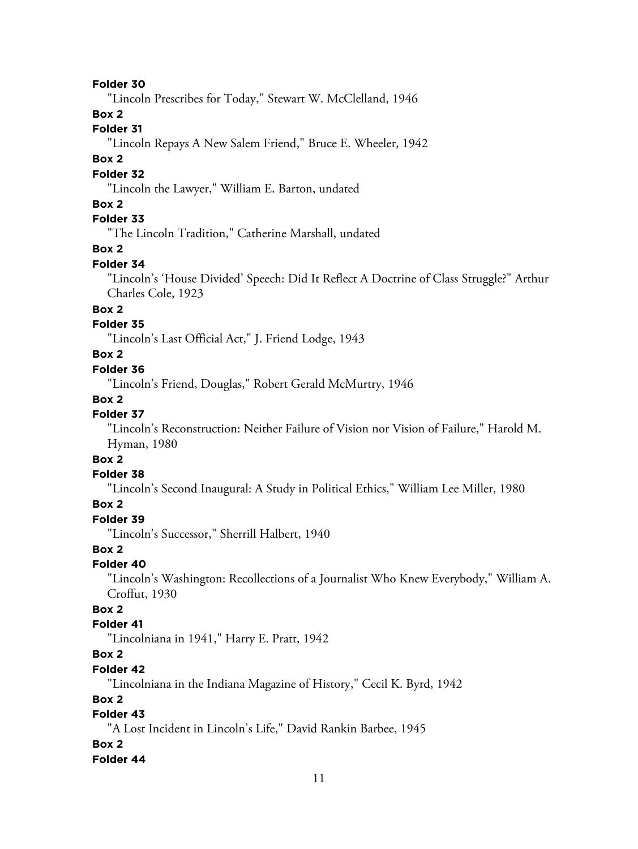#### **Folder 30**

"Lincoln Prescribes for Today," Stewart W. McClelland, 1946

### **Box 2**

### **Folder 31**

"Lincoln Repays A New Salem Friend," Bruce E. Wheeler, 1942

#### **Box 2**

#### **Folder 32**

"Lincoln the Lawyer," William E. Barton, undated

### **Box 2**

### **Folder 33**

"The Lincoln Tradition," Catherine Marshall, undated

#### **Box 2**

#### **Folder 34**

"Lincoln's 'House Divided' Speech: Did It Reflect A Doctrine of Class Struggle?" Arthur Charles Cole, 1923

### **Box 2**

### **Folder 35**

"Lincoln's Last Official Act," J. Friend Lodge, 1943

### **Box 2**

### **Folder 36**

"Lincoln's Friend, Douglas," Robert Gerald McMurtry, 1946

#### **Box 2**

### **Folder 37**

"Lincoln's Reconstruction: Neither Failure of Vision nor Vision of Failure," Harold M. Hyman, 1980

### **Box 2**

#### **Folder 38**

"Lincoln's Second Inaugural: A Study in Political Ethics," William Lee Miller, 1980

### **Box 2**

### **Folder 39**

"Lincoln's Successor," Sherrill Halbert, 1940

### **Box 2**

#### **Folder 40**

"Lincoln's Washington: Recollections of a Journalist Who Knew Everybody," William A. Croffut, 1930

### **Box 2**

#### **Folder 41**

"Lincolniana in 1941," Harry E. Pratt, 1942

### **Box 2**

#### **Folder 42**

"Lincolniana in the Indiana Magazine of History," Cecil K. Byrd, 1942

### **Box 2**

### **Folder 43**

"A Lost Incident in Lincoln's Life," David Rankin Barbee, 1945

#### **Box 2**

#### **Folder 44**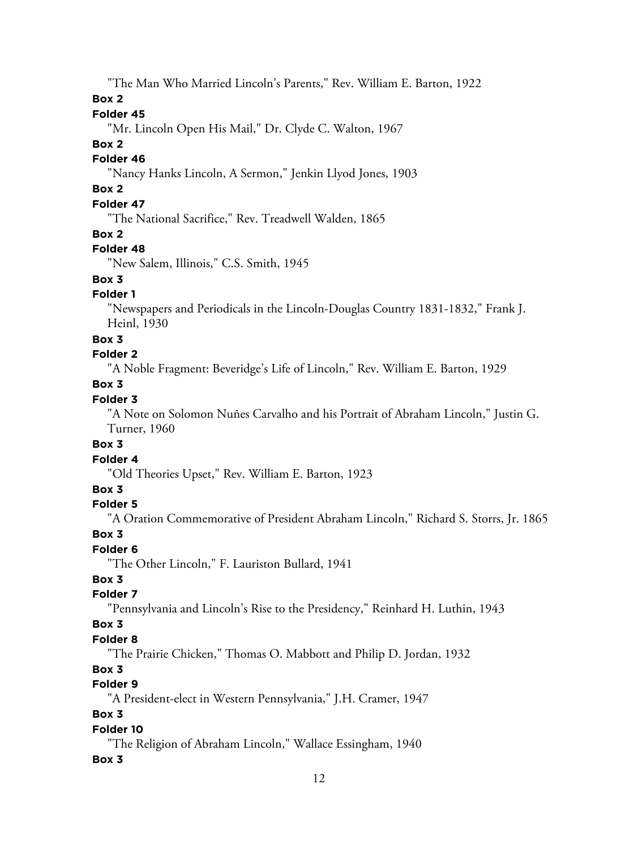"The Man Who Married Lincoln's Parents," Rev. William E. Barton, 1922

**Box 2**

### **Folder 45**

"Mr. Lincoln Open His Mail," Dr. Clyde C. Walton, 1967

### **Box 2**

### **Folder 46**

"Nancy Hanks Lincoln, A Sermon," Jenkin Llyod Jones, 1903

### **Box 2**

### **Folder 47**

"The National Sacrifice," Rev. Treadwell Walden, 1865

### **Box 2**

### **Folder 48**

"New Salem, Illinois," C.S. Smith, 1945

### **Box 3**

### **Folder 1**

"Newspapers and Periodicals in the Lincoln-Douglas Country 1831-1832," Frank J. Heinl, 1930

### **Box 3**

### **Folder 2**

"A Noble Fragment: Beveridge's Life of Lincoln," Rev. William E. Barton, 1929

### **Box 3**

### **Folder 3**

"A Note on Solomon Nuñes Carvalho and his Portrait of Abraham Lincoln," Justin G. Turner, 1960

### **Box 3**

### **Folder 4**

"Old Theories Upset," Rev. William E. Barton, 1923

### **Box 3**

### **Folder 5**

"A Oration Commemorative of President Abraham Lincoln," Richard S. Storrs, Jr. 1865

### **Box 3**

### **Folder 6**

"The Other Lincoln," F. Lauriston Bullard, 1941

### **Box 3**

### **Folder 7**

"Pennsylvania and Lincoln's Rise to the Presidency," Reinhard H. Luthin, 1943

### **Box 3**

### **Folder 8**

"The Prairie Chicken," Thomas O. Mabbott and Philip D. Jordan, 1932

### **Box 3**

### **Folder 9**

"A President-elect in Western Pennsylvania," J.H. Cramer, 1947

### **Box 3**

### **Folder 10**

"The Religion of Abraham Lincoln," Wallace Essingham, 1940

### **Box 3**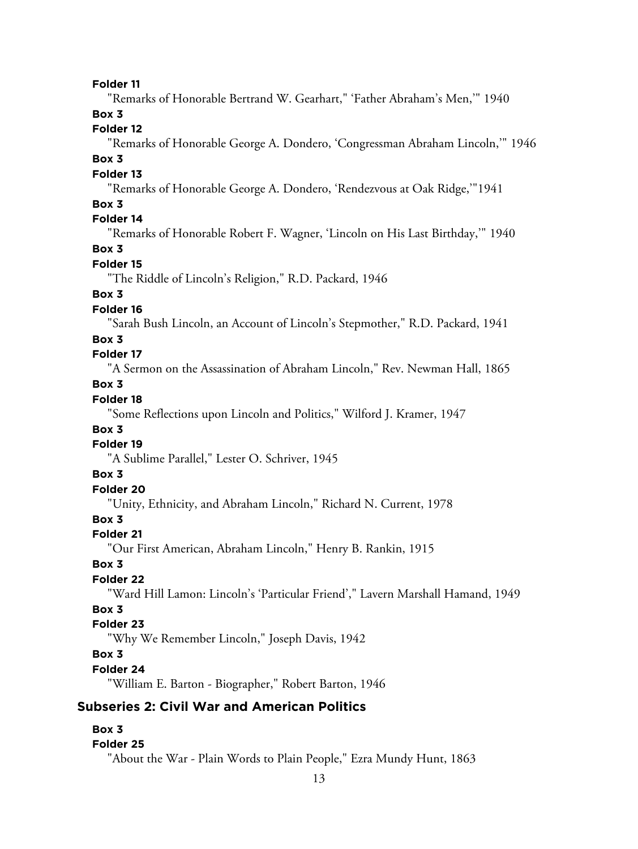#### **Folder 11**

"Remarks of Honorable Bertrand W. Gearhart," 'Father Abraham's Men,'" 1940

### **Box 3**

### **Folder 12**

"Remarks of Honorable George A. Dondero, 'Congressman Abraham Lincoln,'" 1946

### **Box 3**

#### **Folder 13**

"Remarks of Honorable George A. Dondero, 'Rendezvous at Oak Ridge,'"1941

### **Box 3**

### **Folder 14**

"Remarks of Honorable Robert F. Wagner, 'Lincoln on His Last Birthday,'" 1940

### **Box 3**

### **Folder 15**

"The Riddle of Lincoln's Religion," R.D. Packard, 1946

### **Box 3**

### **Folder 16**

"Sarah Bush Lincoln, an Account of Lincoln's Stepmother," R.D. Packard, 1941

#### **Box 3**

### **Folder 17**

"A Sermon on the Assassination of Abraham Lincoln," Rev. Newman Hall, 1865

### **Box 3**

### **Folder 18**

"Some Reflections upon Lincoln and Politics," Wilford J. Kramer, 1947

#### **Box 3**

#### **Folder 19**

"A Sublime Parallel," Lester O. Schriver, 1945

#### **Box 3**

#### **Folder 20**

"Unity, Ethnicity, and Abraham Lincoln," Richard N. Current, 1978

### **Box 3**

#### **Folder 21**

"Our First American, Abraham Lincoln," Henry B. Rankin, 1915

#### **Box 3**

#### **Folder 22**

"Ward Hill Lamon: Lincoln's 'Particular Friend'," Lavern Marshall Hamand, 1949

### **Box 3**

### **Folder 23**

"Why We Remember Lincoln," Joseph Davis, 1942

### **Box 3**

#### **Folder 24**

"William E. Barton - Biographer," Robert Barton, 1946

### **Subseries 2: Civil War and American Politics**

#### **Box 3**

#### **Folder 25**

"About the War - Plain Words to Plain People," Ezra Mundy Hunt, 1863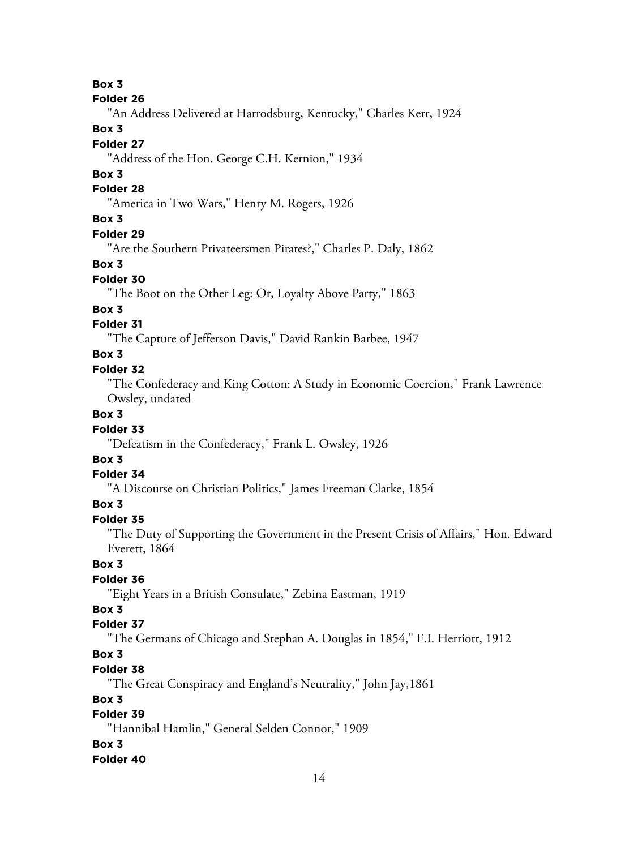**Box 3**

#### **Folder 26**

"An Address Delivered at Harrodsburg, Kentucky," Charles Kerr, 1924

### **Box 3**

### **Folder 27**

"Address of the Hon. George C.H. Kernion," 1934

### **Box 3**

### **Folder 28**

"America in Two Wars," Henry M. Rogers, 1926

### **Box 3**

### **Folder 29**

"Are the Southern Privateersmen Pirates?," Charles P. Daly, 1862

#### **Box 3**

### **Folder 30**

"The Boot on the Other Leg: Or, Loyalty Above Party," 1863

### **Box 3**

### **Folder 31**

"The Capture of Jefferson Davis," David Rankin Barbee, 1947

### **Box 3**

#### **Folder 32**

"The Confederacy and King Cotton: A Study in Economic Coercion," Frank Lawrence Owsley, undated

### **Box 3**

### **Folder 33**

"Defeatism in the Confederacy," Frank L. Owsley, 1926

### **Box 3**

### **Folder 34**

"A Discourse on Christian Politics," James Freeman Clarke, 1854

### **Box 3**

### **Folder 35**

"The Duty of Supporting the Government in the Present Crisis of Affairs," Hon. Edward Everett, 1864

#### **Box 3**

### **Folder 36**

"Eight Years in a British Consulate," Zebina Eastman, 1919

### **Box 3**

### **Folder 37**

"The Germans of Chicago and Stephan A. Douglas in 1854," F.I. Herriott, 1912

### **Box 3**

### **Folder 38**

"The Great Conspiracy and England's Neutrality," John Jay,1861

### **Box 3**

### **Folder 39**

"Hannibal Hamlin," General Selden Connor," 1909

### **Box 3**

### **Folder 40**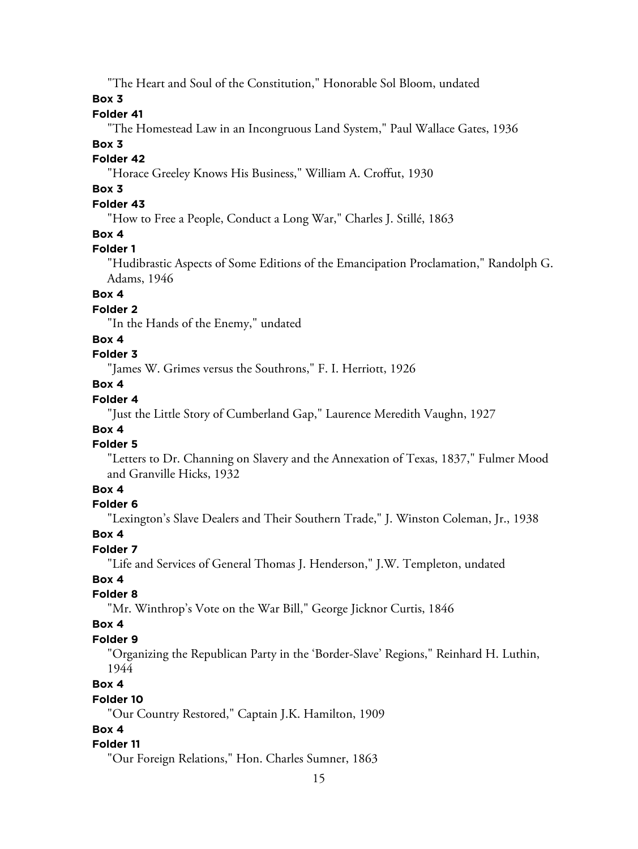"The Heart and Soul of the Constitution," Honorable Sol Bloom, undated

**Box 3**

#### **Folder 41**

"The Homestead Law in an Incongruous Land System," Paul Wallace Gates, 1936

#### **Box 3**

### **Folder 42**

"Horace Greeley Knows His Business," William A. Croffut, 1930

### **Box 3**

### **Folder 43**

"How to Free a People, Conduct a Long War," Charles J. Stillé, 1863

### **Box 4**

#### **Folder 1**

"Hudibrastic Aspects of Some Editions of the Emancipation Proclamation," Randolph G. Adams, 1946

### **Box 4**

### **Folder 2**

"In the Hands of the Enemy," undated

#### **Box 4**

### **Folder 3**

"James W. Grimes versus the Southrons," F. I. Herriott, 1926

### **Box 4**

### **Folder 4**

"Just the Little Story of Cumberland Gap," Laurence Meredith Vaughn, 1927

### **Box 4**

### **Folder 5**

"Letters to Dr. Channing on Slavery and the Annexation of Texas, 1837," Fulmer Mood and Granville Hicks, 1932

### **Box 4**

#### **Folder 6**

"Lexington's Slave Dealers and Their Southern Trade," J. Winston Coleman, Jr., 1938

#### **Box 4**

### **Folder 7**

"Life and Services of General Thomas J. Henderson," J.W. Templeton, undated

### **Box 4**

### **Folder 8**

"Mr. Winthrop's Vote on the War Bill," George Jicknor Curtis, 1846

### **Box 4**

#### **Folder 9**

"Organizing the Republican Party in the 'Border-Slave' Regions," Reinhard H. Luthin, 1944

### **Box 4**

#### **Folder 10**

"Our Country Restored," Captain J.K. Hamilton, 1909

### **Box 4**

#### **Folder 11**

"Our Foreign Relations," Hon. Charles Sumner, 1863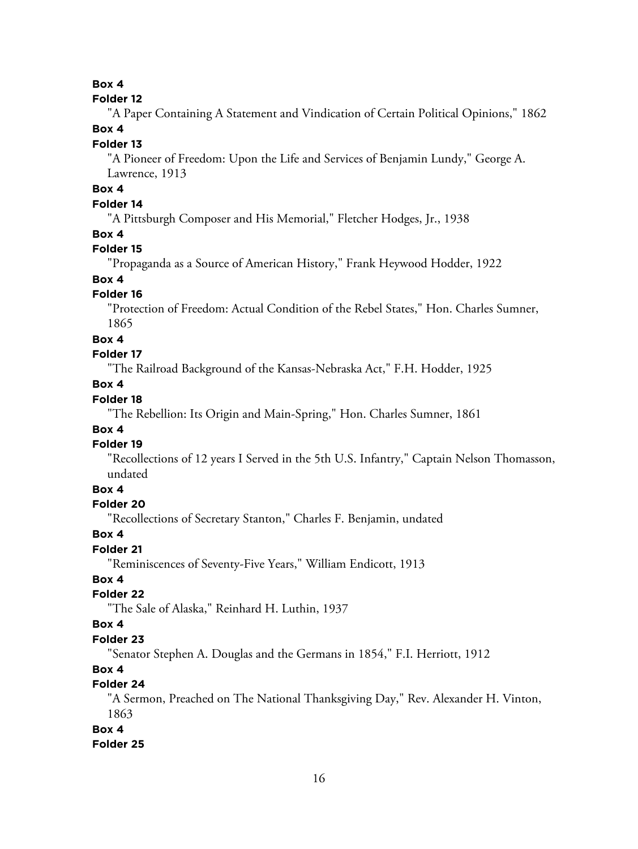### **Box 4**

#### **Folder 12**

"A Paper Containing A Statement and Vindication of Certain Political Opinions," 1862 **Box 4**

#### **Folder 13**

"A Pioneer of Freedom: Upon the Life and Services of Benjamin Lundy," George A. Lawrence, 1913

### **Box 4**

### **Folder 14**

"A Pittsburgh Composer and His Memorial," Fletcher Hodges, Jr., 1938

### **Box 4**

#### **Folder 15**

"Propaganda as a Source of American History," Frank Heywood Hodder, 1922

### **Box 4**

### **Folder 16**

"Protection of Freedom: Actual Condition of the Rebel States," Hon. Charles Sumner, 1865

#### **Box 4**

### **Folder 17**

"The Railroad Background of the Kansas-Nebraska Act," F.H. Hodder, 1925

#### **Box 4**

### **Folder 18**

"The Rebellion: Its Origin and Main-Spring," Hon. Charles Sumner, 1861

#### **Box 4**

#### **Folder 19**

"Recollections of 12 years I Served in the 5th U.S. Infantry," Captain Nelson Thomasson, undated

### **Box 4**

#### **Folder 20**

"Recollections of Secretary Stanton," Charles F. Benjamin, undated

#### **Box 4**

### **Folder 21**

"Reminiscences of Seventy-Five Years," William Endicott, 1913

### **Box 4**

### **Folder 22**

"The Sale of Alaska," Reinhard H. Luthin, 1937

### **Box 4**

#### **Folder 23**

"Senator Stephen A. Douglas and the Germans in 1854," F.I. Herriott, 1912

### **Box 4**

### **Folder 24**

"A Sermon, Preached on The National Thanksgiving Day," Rev. Alexander H. Vinton, 1863

#### **Box 4**

### **Folder 25**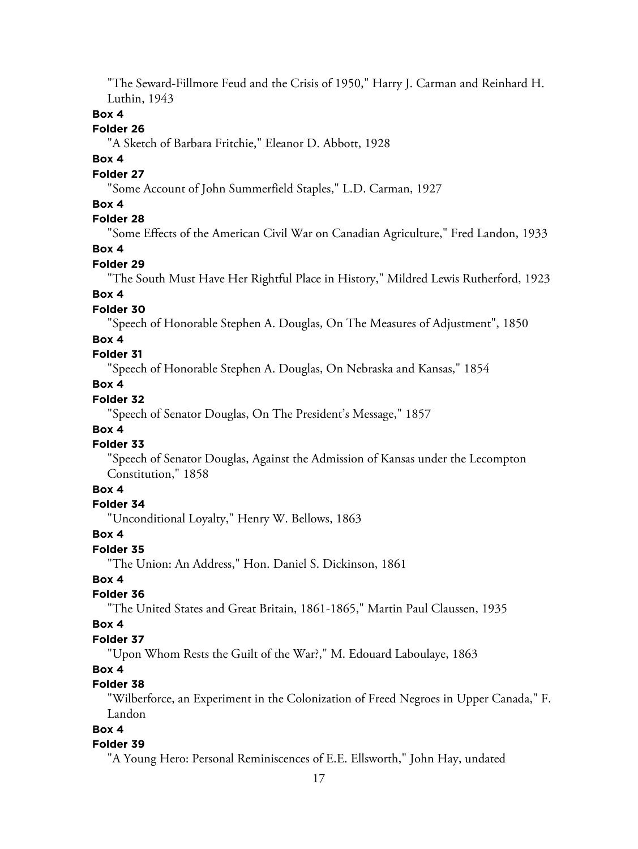"The Seward-Fillmore Feud and the Crisis of 1950," Harry J. Carman and Reinhard H. Luthin, 1943

### **Box 4**

#### **Folder 26**

"A Sketch of Barbara Fritchie," Eleanor D. Abbott, 1928

#### **Box 4**

#### **Folder 27**

"Some Account of John Summerfield Staples," L.D. Carman, 1927

### **Box 4**

### **Folder 28**

"Some Effects of the American Civil War on Canadian Agriculture," Fred Landon, 1933

### **Box 4**

### **Folder 29**

"The South Must Have Her Rightful Place in History," Mildred Lewis Rutherford, 1923

#### **Box 4**

#### **Folder 30**

"Speech of Honorable Stephen A. Douglas, On The Measures of Adjustment", 1850

#### **Box 4**

### **Folder 31**

"Speech of Honorable Stephen A. Douglas, On Nebraska and Kansas," 1854

### **Box 4**

### **Folder 32**

"Speech of Senator Douglas, On The President's Message," 1857

### **Box 4**

#### **Folder 33**

"Speech of Senator Douglas, Against the Admission of Kansas under the Lecompton Constitution," 1858

### **Box 4**

#### **Folder 34**

"Unconditional Loyalty," Henry W. Bellows, 1863

#### **Box 4**

#### **Folder 35**

"The Union: An Address," Hon. Daniel S. Dickinson, 1861

### **Box 4**

### **Folder 36**

"The United States and Great Britain, 1861-1865," Martin Paul Claussen, 1935

#### **Box 4**

#### **Folder 37**

"Upon Whom Rests the Guilt of the War?," M. Edouard Laboulaye, 1863

### **Box 4**

### **Folder 38**

"Wilberforce, an Experiment in the Colonization of Freed Negroes in Upper Canada," F. Landon

### **Box 4**

#### **Folder 39**

"A Young Hero: Personal Reminiscences of E.E. Ellsworth," John Hay, undated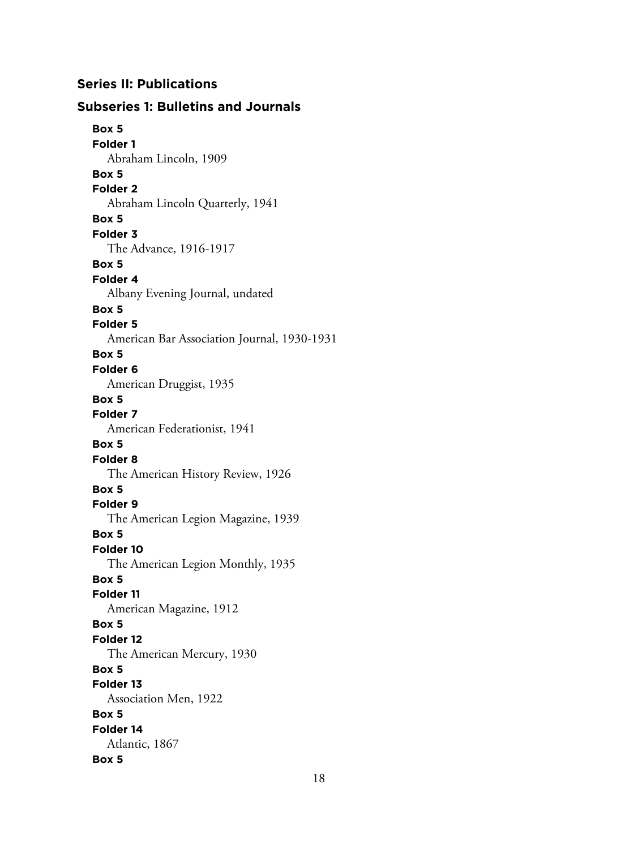### **Series II: Publications**

### **Subseries 1: Bulletins and Journals Box 5 Folder 1** Abraham Lincoln, 1909 **Box 5 Folder 2** Abraham Lincoln Quarterly, 1941 **Box 5 Folder 3** The Advance, 1916-1917 **Box 5 Folder 4** Albany Evening Journal, undated **Box 5 Folder 5** American Bar Association Journal, 1930-1931 **Box 5 Folder 6** American Druggist, 1935 **Box 5 Folder 7** American Federationist, 1941 **Box 5 Folder 8** The American History Review, 1926 **Box 5 Folder 9** The American Legion Magazine, 1939 **Box 5 Folder 10** The American Legion Monthly, 1935 **Box 5 Folder 11** American Magazine, 1912 **Box 5 Folder 12** The American Mercury, 1930 **Box 5 Folder 13** Association Men, 1922 **Box 5 Folder 14** Atlantic, 1867 **Box 5**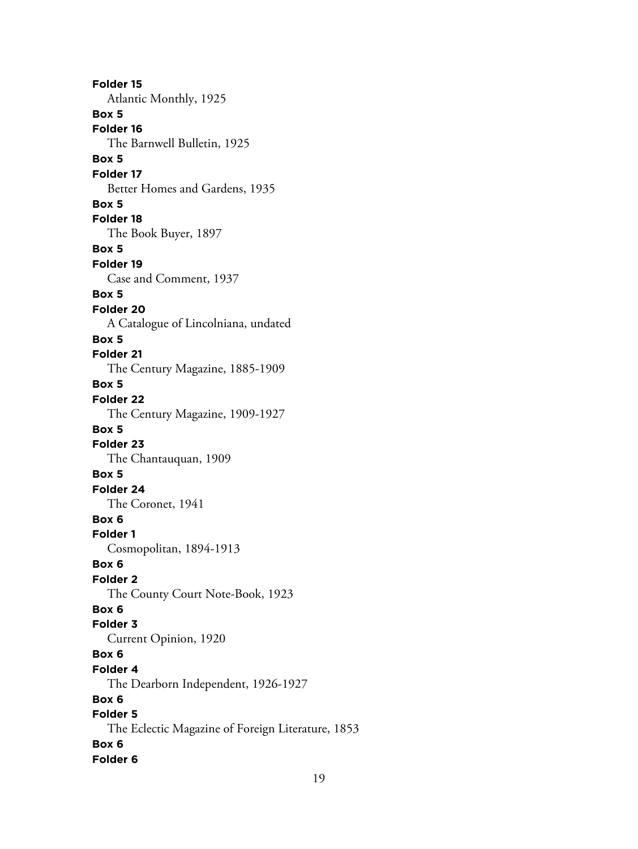**Folder 15** Atlantic Monthly, 1925 **Box 5 Folder 16** The Barnwell Bulletin, 1925 **Box 5 Folder 17** Better Homes and Gardens, 1935 **Box 5 Folder 18** The Book Buyer, 1897 **Box 5 Folder 19** Case and Comment, 1937 **Box 5 Folder 20** A Catalogue of Lincolniana, undated **Box 5 Folder 21** The Century Magazine, 1885-1909 **Box 5 Folder 22** The Century Magazine, 1909-1927 **Box 5 Folder 23** The Chantauquan, 1909 **Box 5 Folder 24** The Coronet, 1941 **Box 6 Folder 1** Cosmopolitan, 1894-1913 **Box 6 Folder 2** The County Court Note-Book, 1923 **Box 6 Folder 3** Current Opinion, 1920 **Box 6 Folder 4** The Dearborn Independent, 1926-1927 **Box 6 Folder 5** The Eclectic Magazine of Foreign Literature, 1853 **Box 6 Folder 6**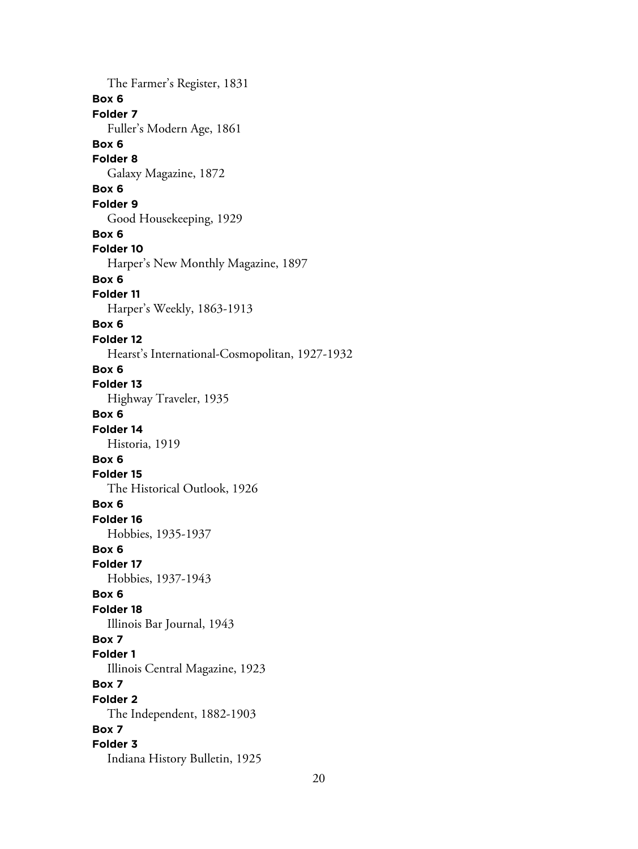The Farmer's Register, 1831 **Box 6 Folder 7** Fuller's Modern Age, 1861 **Box 6 Folder 8** Galaxy Magazine, 1872 **Box 6 Folder 9** Good Housekeeping, 1929 **Box 6 Folder 10** Harper's New Monthly Magazine, 1897 **Box 6 Folder 11** Harper's Weekly, 1863-1913 **Box 6 Folder 12** Hearst's International-Cosmopolitan, 1927-1932 **Box 6 Folder 13** Highway Traveler, 1935 **Box 6 Folder 14** Historia, 1919 **Box 6 Folder 15** The Historical Outlook, 1926 **Box 6 Folder 16** Hobbies, 1935-1937 **Box 6 Folder 17** Hobbies, 1937-1943 **Box 6 Folder 18** Illinois Bar Journal, 1943 **Box 7 Folder 1** Illinois Central Magazine, 1923 **Box 7 Folder 2** The Independent, 1882-1903 **Box 7 Folder 3** Indiana History Bulletin, 1925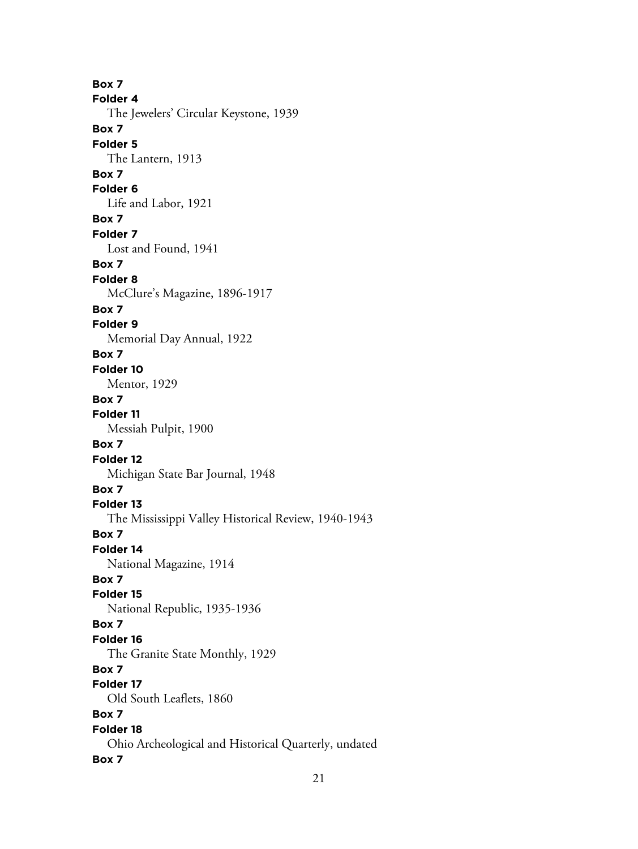**Box 7 Folder 4** The Jewelers' Circular Keystone, 1939 **Box 7 Folder 5** The Lantern, 1913 **Box 7 Folder 6** Life and Labor, 1921 **Box 7 Folder 7** Lost and Found, 1941 **Box 7 Folder 8** McClure's Magazine, 1896-1917 **Box 7 Folder 9** Memorial Day Annual, 1922 **Box 7 Folder 10** Mentor, 1929 **Box 7 Folder 11** Messiah Pulpit, 1900 **Box 7 Folder 12** Michigan State Bar Journal, 1948 **Box 7 Folder 13** The Mississippi Valley Historical Review, 1940-1943 **Box 7 Folder 14** National Magazine, 1914 **Box 7 Folder 15** National Republic, 1935-1936 **Box 7 Folder 16** The Granite State Monthly, 1929 **Box 7 Folder 17** Old South Leaflets, 1860 **Box 7 Folder 18** Ohio Archeological and Historical Quarterly, undated **Box 7**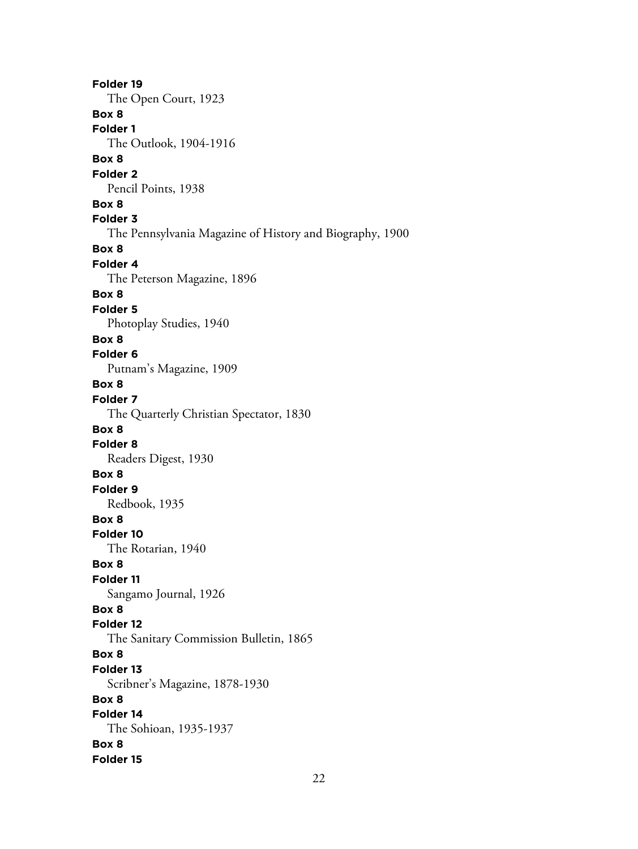**Folder 19** The Open Court, 1923 **Box 8 Folder 1** The Outlook, 1904-1916 **Box 8 Folder 2** Pencil Points, 1938 **Box 8 Folder 3** The Pennsylvania Magazine of History and Biography, 1900 **Box 8 Folder 4** The Peterson Magazine, 1896 **Box 8 Folder 5** Photoplay Studies, 1940 **Box 8 Folder 6** Putnam's Magazine, 1909 **Box 8 Folder 7** The Quarterly Christian Spectator, 1830 **Box 8 Folder 8** Readers Digest, 1930 **Box 8 Folder 9** Redbook, 1935 **Box 8 Folder 10** The Rotarian, 1940 **Box 8 Folder 11** Sangamo Journal, 1926 **Box 8 Folder 12** The Sanitary Commission Bulletin, 1865 **Box 8 Folder 13** Scribner's Magazine, 1878-1930 **Box 8 Folder 14** The Sohioan, 1935-1937 **Box 8 Folder 15**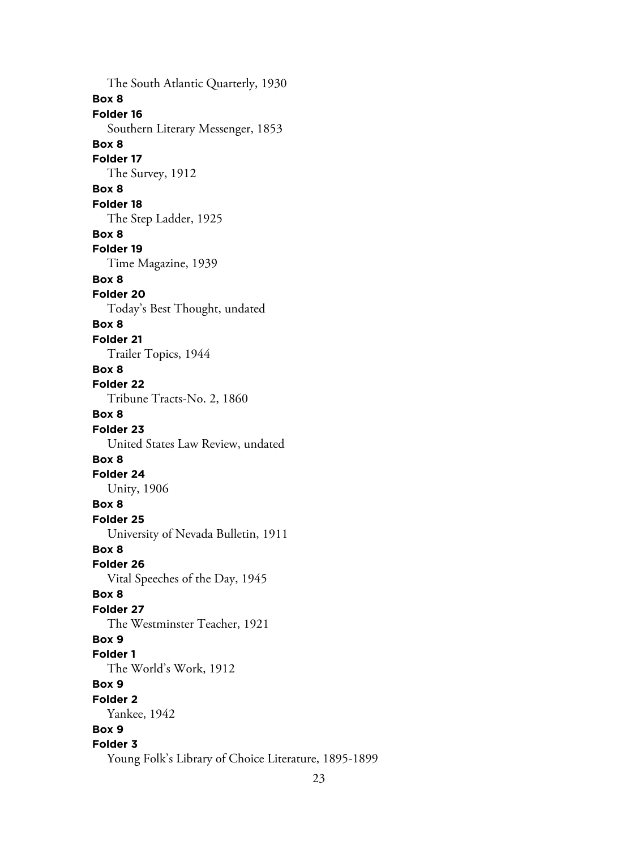The South Atlantic Quarterly, 1930 **Box 8 Folder 16** Southern Literary Messenger, 1853 **Box 8 Folder 17** The Survey, 1912 **Box 8 Folder 18** The Step Ladder, 1925 **Box 8 Folder 19** Time Magazine, 1939 **Box 8 Folder 20** Today's Best Thought, undated **Box 8 Folder 21** Trailer Topics, 1944 **Box 8 Folder 22** Tribune Tracts-No. 2, 1860 **Box 8 Folder 23** United States Law Review, undated **Box 8 Folder 24** Unity, 1906 **Box 8 Folder 25** University of Nevada Bulletin, 1911 **Box 8 Folder 26** Vital Speeches of the Day, 1945 **Box 8 Folder 27** The Westminster Teacher, 1921 **Box 9 Folder 1** The World's Work, 1912 **Box 9 Folder 2** Yankee, 1942 **Box 9 Folder 3** Young Folk's Library of Choice Literature, 1895-1899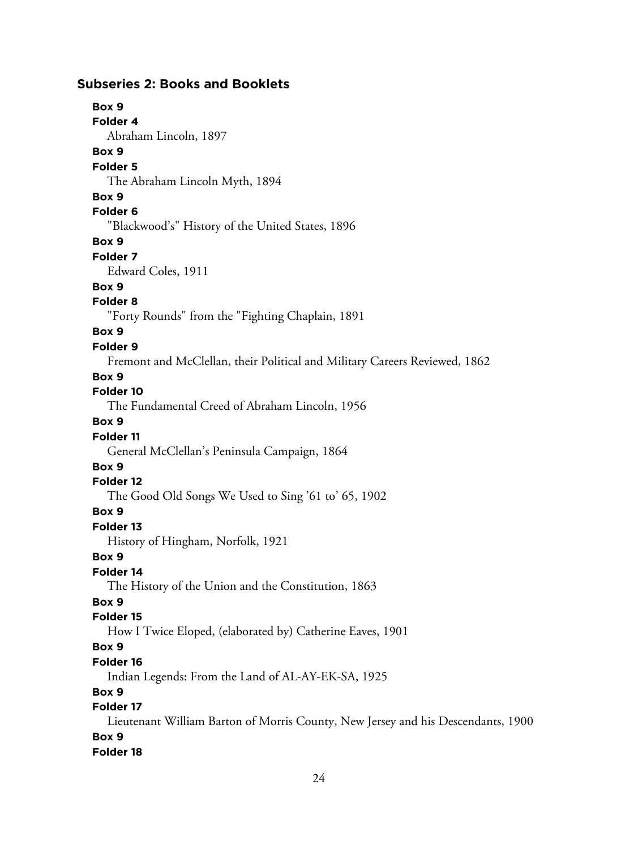### **Subseries 2: Books and Booklets**

## **Box 9**

**Folder 4**

Abraham Lincoln, 1897

### **Box 9**

#### **Folder 5**

The Abraham Lincoln Myth, 1894

#### **Box 9**

#### **Folder 6**

"Blackwood's" History of the United States, 1896

#### **Box 9**

**Folder 7**

Edward Coles, 1911

#### **Box 9**

#### **Folder 8**

"Forty Rounds" from the "Fighting Chaplain, 1891

### **Box 9**

### **Folder 9**

Fremont and McClellan, their Political and Military Careers Reviewed, 1862

#### **Box 9**

### **Folder 10**

The Fundamental Creed of Abraham Lincoln, 1956

### **Box 9**

### **Folder 11**

General McClellan's Peninsula Campaign, 1864

### **Box 9**

### **Folder 12**

The Good Old Songs We Used to Sing '61 to' 65, 1902

#### **Box 9**

### **Folder 13**

History of Hingham, Norfolk, 1921

### **Box 9**

### **Folder 14**

The History of the Union and the Constitution, 1863

### **Box 9**

### **Folder 15**

How I Twice Eloped, (elaborated by) Catherine Eaves, 1901

### **Box 9**

### **Folder 16**

Indian Legends: From the Land of AL-AY-EK-SA, 1925

### **Box 9**

#### **Folder 17**

Lieutenant William Barton of Morris County, New Jersey and his Descendants, 1900 **Box 9**

### **Folder 18**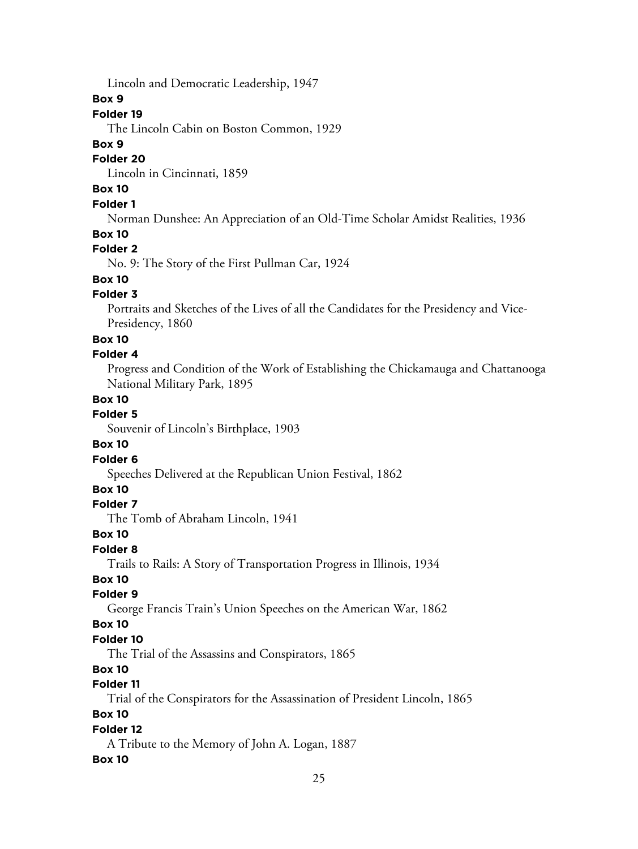Lincoln and Democratic Leadership, 1947

#### **Box 9**

#### **Folder 19**

The Lincoln Cabin on Boston Common, 1929

#### **Box 9**

#### **Folder 20**

Lincoln in Cincinnati, 1859

### **Box 10**

### **Folder 1**

Norman Dunshee: An Appreciation of an Old-Time Scholar Amidst Realities, 1936

#### **Box 10**

### **Folder 2**

No. 9: The Story of the First Pullman Car, 1924

### **Box 10**

### **Folder 3**

Portraits and Sketches of the Lives of all the Candidates for the Presidency and Vice-Presidency, 1860

#### **Box 10**

### **Folder 4**

Progress and Condition of the Work of Establishing the Chickamauga and Chattanooga National Military Park, 1895

### **Box 10**

### **Folder 5**

Souvenir of Lincoln's Birthplace, 1903

### **Box 10**

### **Folder 6**

Speeches Delivered at the Republican Union Festival, 1862

### **Box 10**

### **Folder 7**

The Tomb of Abraham Lincoln, 1941

#### **Box 10**

#### **Folder 8**

Trails to Rails: A Story of Transportation Progress in Illinois, 1934

### **Box 10**

#### **Folder 9**

George Francis Train's Union Speeches on the American War, 1862

### **Box 10**

### **Folder 10**

The Trial of the Assassins and Conspirators, 1865

### **Box 10**

### **Folder 11**

Trial of the Conspirators for the Assassination of President Lincoln, 1865

### **Box 10**

### **Folder 12**

A Tribute to the Memory of John A. Logan, 1887

#### **Box 10**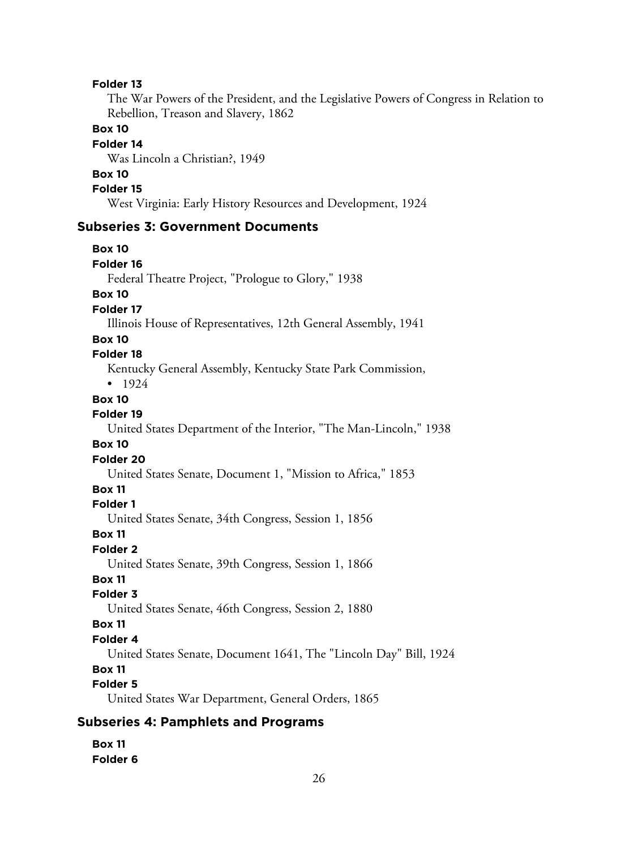#### **Folder 13**

The War Powers of the President, and the Legislative Powers of Congress in Relation to Rebellion, Treason and Slavery, 1862

#### **Box 10**

#### **Folder 14**

Was Lincoln a Christian?, 1949

### **Box 10**

**Folder 15**

West Virginia: Early History Resources and Development, 1924

#### **Subseries 3: Government Documents**

**Box 10 Folder 16** Federal Theatre Project, "Prologue to Glory," 1938 **Box 10 Folder 17** Illinois House of Representatives, 12th General Assembly, 1941 **Box 10 Folder 18** Kentucky General Assembly, Kentucky State Park Commission, • 1924 **Box 10 Folder 19** United States Department of the Interior, "The Man-Lincoln," 1938 **Box 10 Folder 20** United States Senate, Document 1, "Mission to Africa," 1853 **Box 11 Folder 1** United States Senate, 34th Congress, Session 1, 1856 **Box 11 Folder 2** United States Senate, 39th Congress, Session 1, 1866 **Box 11 Folder 3** United States Senate, 46th Congress, Session 2, 1880 **Box 11 Folder 4** United States Senate, Document 1641, The "Lincoln Day" Bill, 1924 **Box 11 Folder 5** United States War Department, General Orders, 1865 **Subseries 4: Pamphlets and Programs**

**Box 11 Folder 6**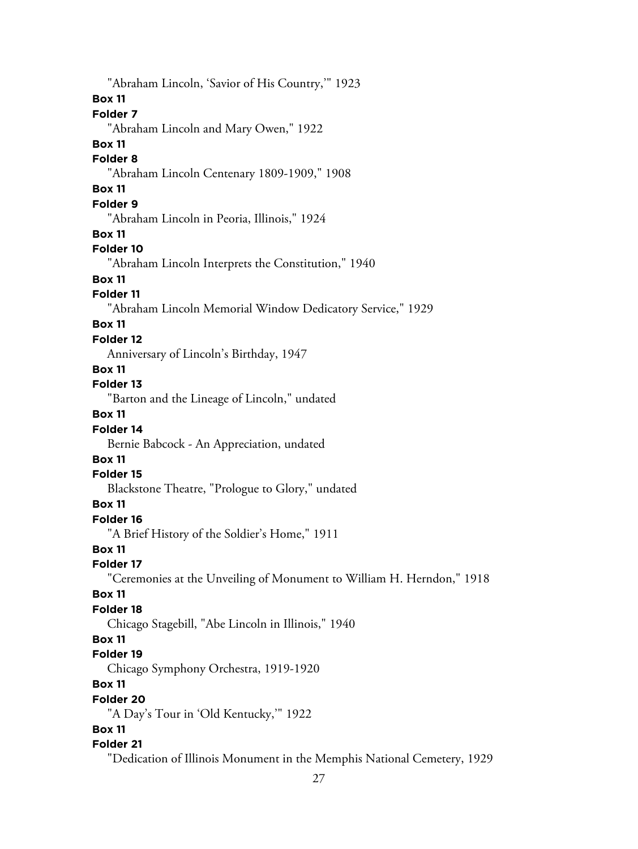"Abraham Lincoln, 'Savior of His Country,'" 1923 **Box 11 Folder 7** "Abraham Lincoln and Mary Owen," 1922 **Box 11 Folder 8** "Abraham Lincoln Centenary 1809-1909," 1908 **Box 11 Folder 9** "Abraham Lincoln in Peoria, Illinois," 1924 **Box 11 Folder 10** "Abraham Lincoln Interprets the Constitution," 1940 **Box 11 Folder 11** "Abraham Lincoln Memorial Window Dedicatory Service," 1929 **Box 11 Folder 12** Anniversary of Lincoln's Birthday, 1947 **Box 11 Folder 13** "Barton and the Lineage of Lincoln," undated **Box 11 Folder 14** Bernie Babcock - An Appreciation, undated **Box 11 Folder 15** Blackstone Theatre, "Prologue to Glory," undated **Box 11 Folder 16** "A Brief History of the Soldier's Home," 1911 **Box 11 Folder 17** "Ceremonies at the Unveiling of Monument to William H. Herndon," 1918 **Box 11 Folder 18** Chicago Stagebill, "Abe Lincoln in Illinois," 1940 **Box 11 Folder 19** Chicago Symphony Orchestra, 1919-1920 **Box 11 Folder 20** "A Day's Tour in 'Old Kentucky,'" 1922 **Box 11 Folder 21** "Dedication of Illinois Monument in the Memphis National Cemetery, 1929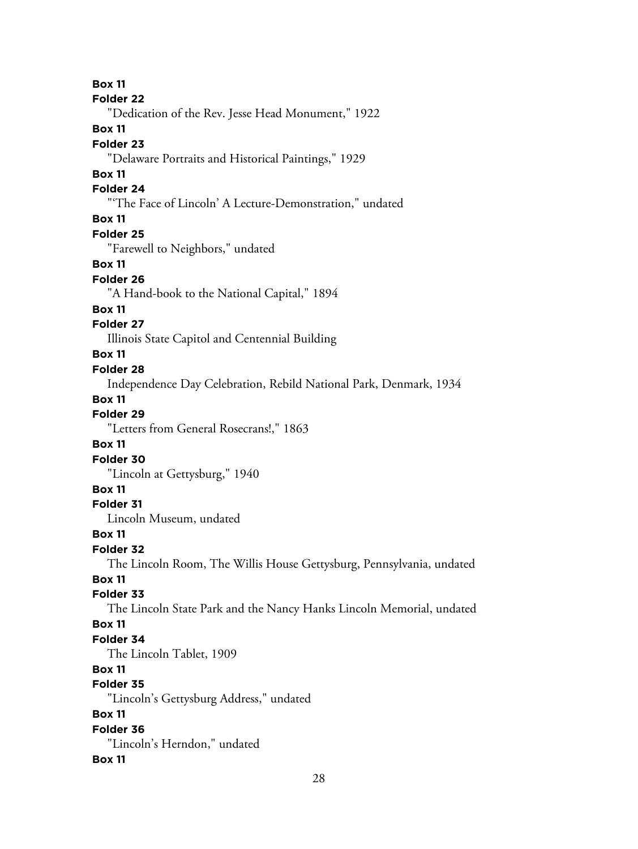28 **Box 11 Folder 22** "Dedication of the Rev. Jesse Head Monument," 1922 **Box 11 Folder 23** "Delaware Portraits and Historical Paintings," 1929 **Box 11 Folder 24** "'The Face of Lincoln' A Lecture-Demonstration," undated **Box 11 Folder 25** "Farewell to Neighbors," undated **Box 11 Folder 26** "A Hand-book to the National Capital," 1894 **Box 11 Folder 27** Illinois State Capitol and Centennial Building **Box 11 Folder 28** Independence Day Celebration, Rebild National Park, Denmark, 1934 **Box 11 Folder 29** "Letters from General Rosecrans!," 1863 **Box 11 Folder 30** "Lincoln at Gettysburg," 1940 **Box 11 Folder 31** Lincoln Museum, undated **Box 11 Folder 32** The Lincoln Room, The Willis House Gettysburg, Pennsylvania, undated **Box 11 Folder 33** The Lincoln State Park and the Nancy Hanks Lincoln Memorial, undated **Box 11 Folder 34** The Lincoln Tablet, 1909 **Box 11 Folder 35** "Lincoln's Gettysburg Address," undated **Box 11 Folder 36** "Lincoln's Herndon," undated **Box 11**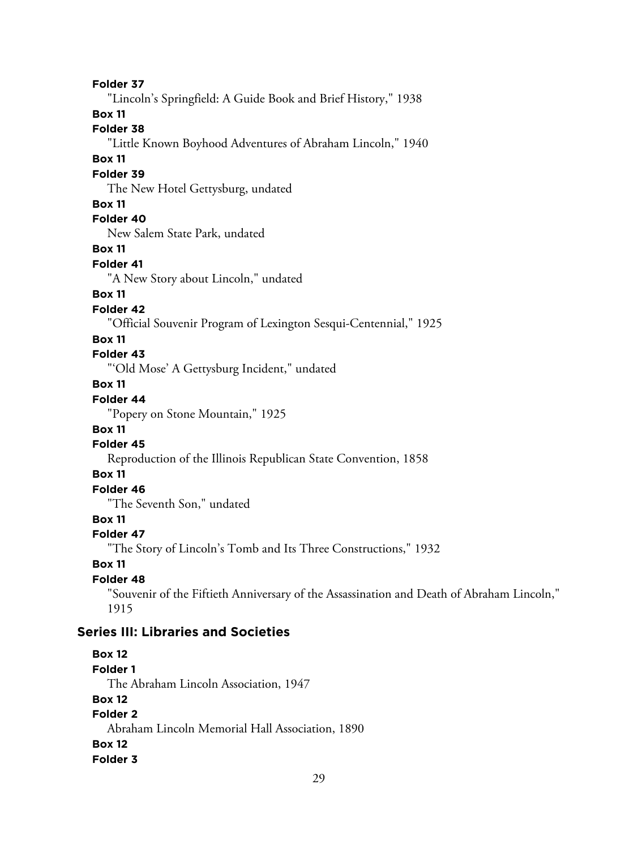**Folder 37** "Lincoln's Springfield: A Guide Book and Brief History," 1938 **Box 11 Folder 38** "Little Known Boyhood Adventures of Abraham Lincoln," 1940 **Box 11 Folder 39** The New Hotel Gettysburg, undated **Box 11 Folder 40** New Salem State Park, undated **Box 11 Folder 41** "A New Story about Lincoln," undated **Box 11 Folder 42** "Official Souvenir Program of Lexington Sesqui-Centennial," 1925 **Box 11 Folder 43** "'Old Mose' A Gettysburg Incident," undated **Box 11 Folder 44** "Popery on Stone Mountain," 1925 **Box 11 Folder 45** Reproduction of the Illinois Republican State Convention, 1858 **Box 11 Folder 46** "The Seventh Son," undated **Box 11 Folder 47** "The Story of Lincoln's Tomb and Its Three Constructions," 1932 **Box 11 Folder 48** "Souvenir of the Fiftieth Anniversary of the Assassination and Death of Abraham Lincoln," 1915 **Series III: Libraries and Societies Box 12 Folder 1** The Abraham Lincoln Association, 1947 **Box 12 Folder 2** Abraham Lincoln Memorial Hall Association, 1890 **Box 12 Folder 3**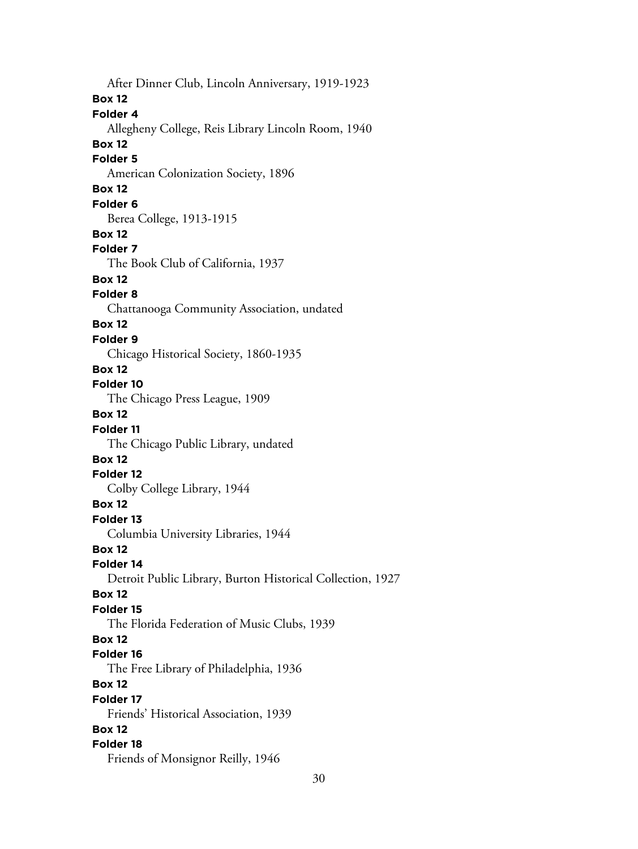After Dinner Club, Lincoln Anniversary, 1919-1923 **Box 12 Folder 4** Allegheny College, Reis Library Lincoln Room, 1940 **Box 12 Folder 5** American Colonization Society, 1896 **Box 12 Folder 6** Berea College, 1913-1915 **Box 12 Folder 7** The Book Club of California, 1937 **Box 12 Folder 8** Chattanooga Community Association, undated **Box 12 Folder 9** Chicago Historical Society, 1860-1935 **Box 12 Folder 10** The Chicago Press League, 1909 **Box 12 Folder 11** The Chicago Public Library, undated **Box 12 Folder 12** Colby College Library, 1944 **Box 12 Folder 13** Columbia University Libraries, 1944 **Box 12 Folder 14** Detroit Public Library, Burton Historical Collection, 1927 **Box 12 Folder 15** The Florida Federation of Music Clubs, 1939 **Box 12 Folder 16** The Free Library of Philadelphia, 1936 **Box 12 Folder 17** Friends' Historical Association, 1939 **Box 12 Folder 18** Friends of Monsignor Reilly, 1946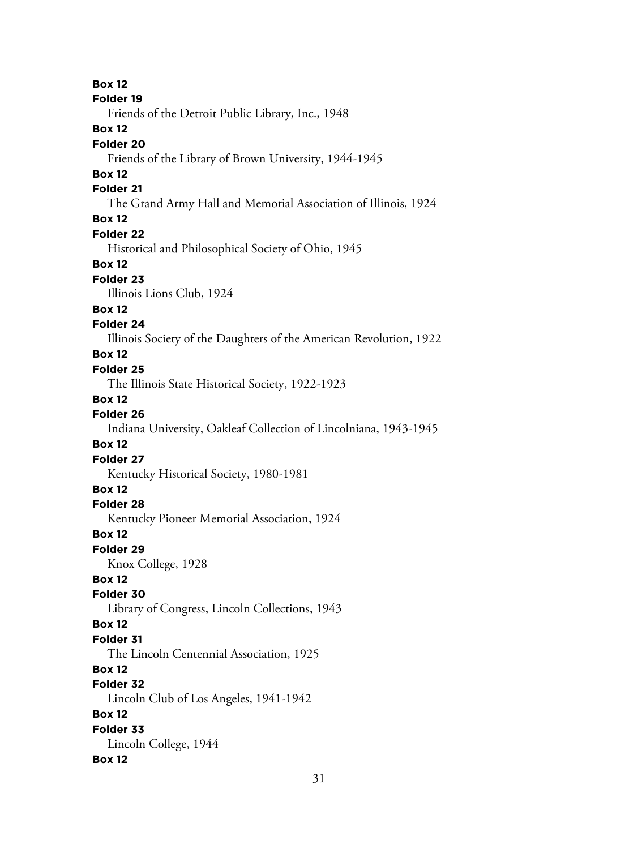**Box 12 Folder 19** Friends of the Detroit Public Library, Inc., 1948 **Box 12 Folder 20** Friends of the Library of Brown University, 1944-1945 **Box 12 Folder 21** The Grand Army Hall and Memorial Association of Illinois, 1924 **Box 12 Folder 22** Historical and Philosophical Society of Ohio, 1945 **Box 12 Folder 23** Illinois Lions Club, 1924 **Box 12 Folder 24** Illinois Society of the Daughters of the American Revolution, 1922 **Box 12 Folder 25** The Illinois State Historical Society, 1922-1923 **Box 12 Folder 26** Indiana University, Oakleaf Collection of Lincolniana, 1943-1945 **Box 12 Folder 27** Kentucky Historical Society, 1980-1981 **Box 12 Folder 28** Kentucky Pioneer Memorial Association, 1924 **Box 12 Folder 29** Knox College, 1928 **Box 12 Folder 30** Library of Congress, Lincoln Collections, 1943 **Box 12 Folder 31** The Lincoln Centennial Association, 1925 **Box 12 Folder 32** Lincoln Club of Los Angeles, 1941-1942 **Box 12 Folder 33** Lincoln College, 1944 **Box 12**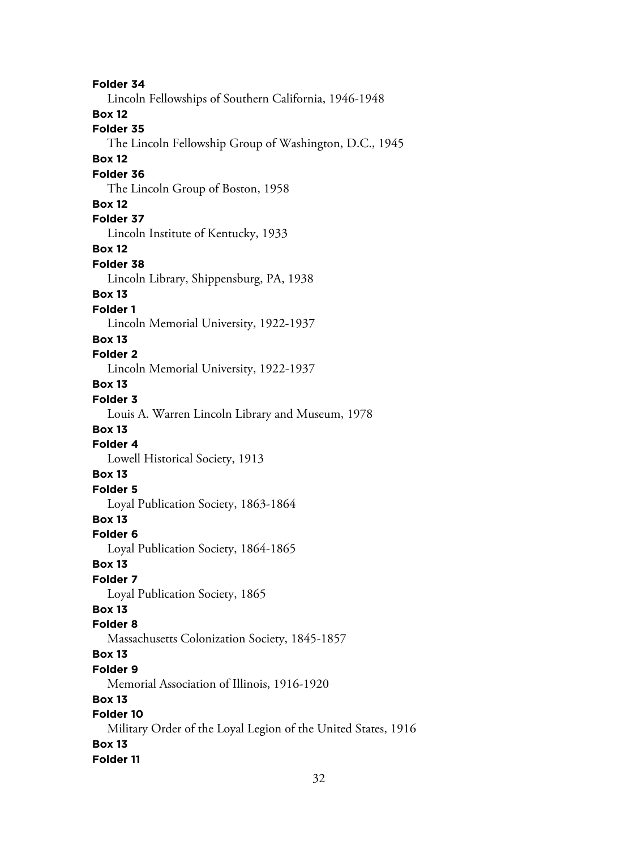**Folder 34** Lincoln Fellowships of Southern California, 1946-1948 **Box 12 Folder 35** The Lincoln Fellowship Group of Washington, D.C., 1945 **Box 12 Folder 36** The Lincoln Group of Boston, 1958 **Box 12 Folder 37** Lincoln Institute of Kentucky, 1933 **Box 12 Folder 38** Lincoln Library, Shippensburg, PA, 1938 **Box 13 Folder 1** Lincoln Memorial University, 1922-1937 **Box 13 Folder 2** Lincoln Memorial University, 1922-1937 **Box 13 Folder 3** Louis A. Warren Lincoln Library and Museum, 1978 **Box 13 Folder 4** Lowell Historical Society, 1913 **Box 13 Folder 5** Loyal Publication Society, 1863-1864 **Box 13 Folder 6** Loyal Publication Society, 1864-1865 **Box 13 Folder 7** Loyal Publication Society, 1865 **Box 13 Folder 8** Massachusetts Colonization Society, 1845-1857 **Box 13 Folder 9** Memorial Association of Illinois, 1916-1920 **Box 13 Folder 10** Military Order of the Loyal Legion of the United States, 1916 **Box 13 Folder 11**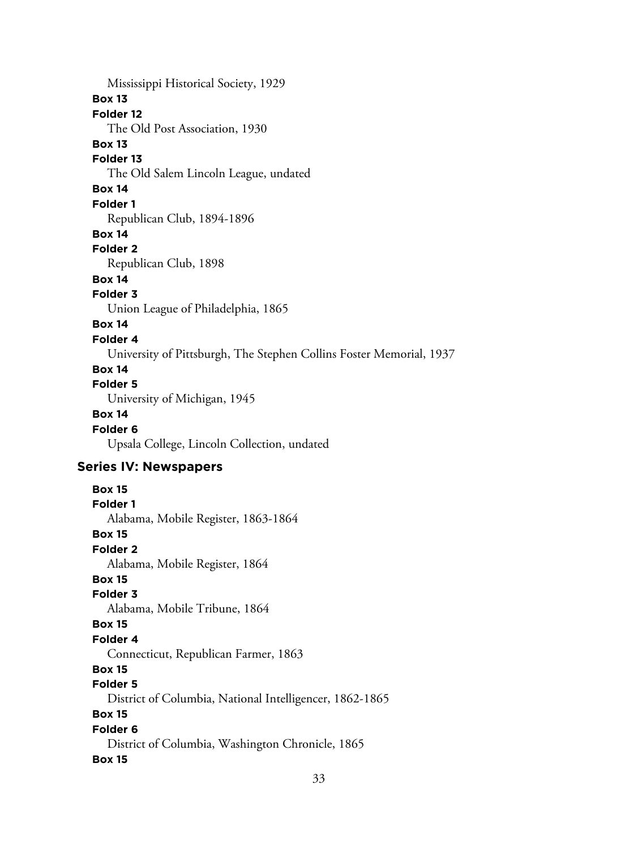Mississippi Historical Society, 1929 **Box 13 Folder 12** The Old Post Association, 1930 **Box 13 Folder 13** The Old Salem Lincoln League, undated **Box 14 Folder 1** Republican Club, 1894-1896 **Box 14 Folder 2** Republican Club, 1898 **Box 14 Folder 3** Union League of Philadelphia, 1865 **Box 14 Folder 4** University of Pittsburgh, The Stephen Collins Foster Memorial, 1937 **Box 14 Folder 5** University of Michigan, 1945 **Box 14 Folder 6** Upsala College, Lincoln Collection, undated **Series IV: Newspapers Box 15 Folder 1** Alabama, Mobile Register, 1863-1864 **Box 15 Folder 2** Alabama, Mobile Register, 1864 **Box 15 Folder 3** Alabama, Mobile Tribune, 1864 **Box 15 Folder 4** Connecticut, Republican Farmer, 1863 **Box 15 Folder 5** District of Columbia, National Intelligencer, 1862-1865 **Box 15 Folder 6** District of Columbia, Washington Chronicle, 1865 **Box 15**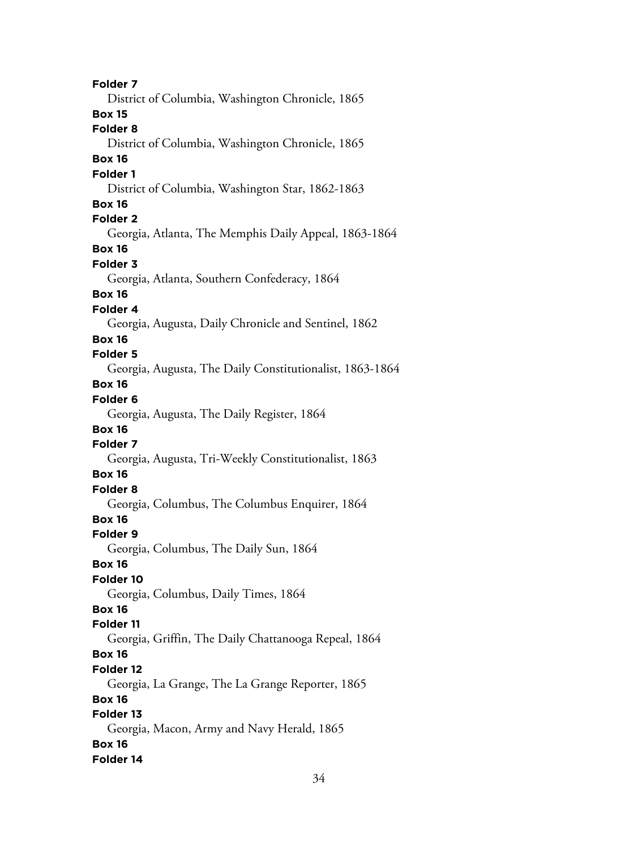**Folder 7** District of Columbia, Washington Chronicle, 1865 **Box 15 Folder 8** District of Columbia, Washington Chronicle, 1865 **Box 16 Folder 1** District of Columbia, Washington Star, 1862-1863 **Box 16 Folder 2** Georgia, Atlanta, The Memphis Daily Appeal, 1863-1864 **Box 16 Folder 3** Georgia, Atlanta, Southern Confederacy, 1864 **Box 16 Folder 4** Georgia, Augusta, Daily Chronicle and Sentinel, 1862 **Box 16 Folder 5** Georgia, Augusta, The Daily Constitutionalist, 1863-1864 **Box 16 Folder 6** Georgia, Augusta, The Daily Register, 1864 **Box 16 Folder 7** Georgia, Augusta, Tri-Weekly Constitutionalist, 1863 **Box 16 Folder 8** Georgia, Columbus, The Columbus Enquirer, 1864 **Box 16 Folder 9** Georgia, Columbus, The Daily Sun, 1864 **Box 16 Folder 10** Georgia, Columbus, Daily Times, 1864 **Box 16 Folder 11** Georgia, Griffin, The Daily Chattanooga Repeal, 1864 **Box 16 Folder 12** Georgia, La Grange, The La Grange Reporter, 1865 **Box 16 Folder 13** Georgia, Macon, Army and Navy Herald, 1865 **Box 16 Folder 14**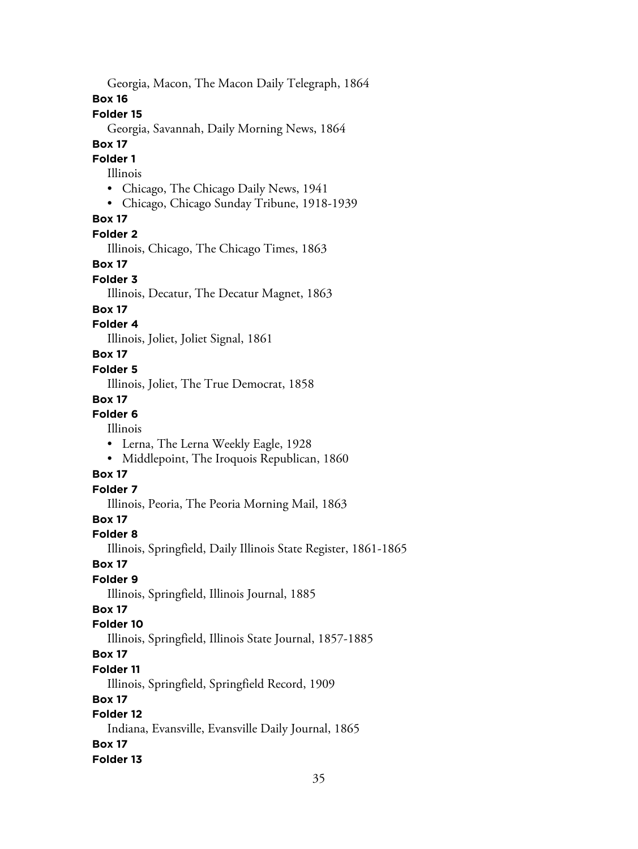Georgia, Macon, The Macon Daily Telegraph, 1864

**Box 16**

### **Folder 15**

Georgia, Savannah, Daily Morning News, 1864

#### **Box 17**

**Folder 1**

#### Illinois

- Chicago, The Chicago Daily News, 1941
- Chicago, Chicago Sunday Tribune, 1918-1939

### **Box 17**

#### **Folder 2**

Illinois, Chicago, The Chicago Times, 1863

#### **Box 17**

#### **Folder 3**

Illinois, Decatur, The Decatur Magnet, 1863

#### **Box 17**

### **Folder 4**

Illinois, Joliet, Joliet Signal, 1861

### **Box 17**

#### **Folder 5**

Illinois, Joliet, The True Democrat, 1858

#### **Box 17**

### **Folder 6**

Illinois

- Lerna, The Lerna Weekly Eagle, 1928
- Middlepoint, The Iroquois Republican, 1860

### **Box 17**

### **Folder 7**

Illinois, Peoria, The Peoria Morning Mail, 1863

#### **Box 17**

### **Folder 8**

Illinois, Springfield, Daily Illinois State Register, 1861-1865

#### **Box 17**

### **Folder 9**

Illinois, Springfield, Illinois Journal, 1885

### **Box 17**

### **Folder 10**

Illinois, Springfield, Illinois State Journal, 1857-1885

### **Box 17**

#### **Folder 11**

Illinois, Springfield, Springfield Record, 1909

### **Box 17**

### **Folder 12**

Indiana, Evansville, Evansville Daily Journal, 1865 **Box 17**

### **Folder 13**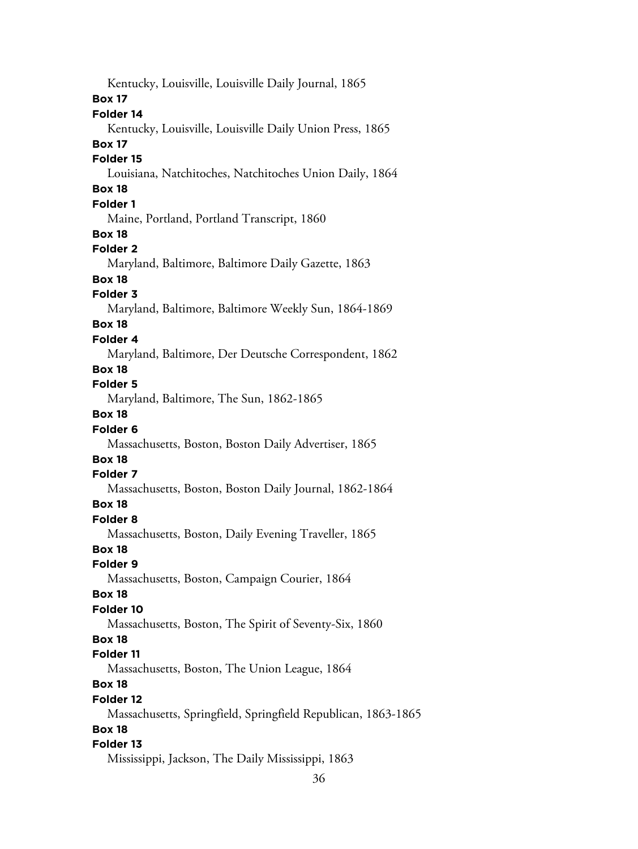Kentucky, Louisville, Louisville Daily Journal, 1865 **Box 17 Folder 14** Kentucky, Louisville, Louisville Daily Union Press, 1865 **Box 17 Folder 15** Louisiana, Natchitoches, Natchitoches Union Daily, 1864 **Box 18 Folder 1** Maine, Portland, Portland Transcript, 1860 **Box 18 Folder 2** Maryland, Baltimore, Baltimore Daily Gazette, 1863 **Box 18 Folder 3** Maryland, Baltimore, Baltimore Weekly Sun, 1864-1869 **Box 18 Folder 4** Maryland, Baltimore, Der Deutsche Correspondent, 1862 **Box 18 Folder 5** Maryland, Baltimore, The Sun, 1862-1865 **Box 18 Folder 6** Massachusetts, Boston, Boston Daily Advertiser, 1865 **Box 18 Folder 7** Massachusetts, Boston, Boston Daily Journal, 1862-1864 **Box 18 Folder 8** Massachusetts, Boston, Daily Evening Traveller, 1865 **Box 18 Folder 9** Massachusetts, Boston, Campaign Courier, 1864 **Box 18 Folder 10** Massachusetts, Boston, The Spirit of Seventy-Six, 1860 **Box 18 Folder 11** Massachusetts, Boston, The Union League, 1864 **Box 18 Folder 12** Massachusetts, Springfield, Springfield Republican, 1863-1865 **Box 18 Folder 13** Mississippi, Jackson, The Daily Mississippi, 1863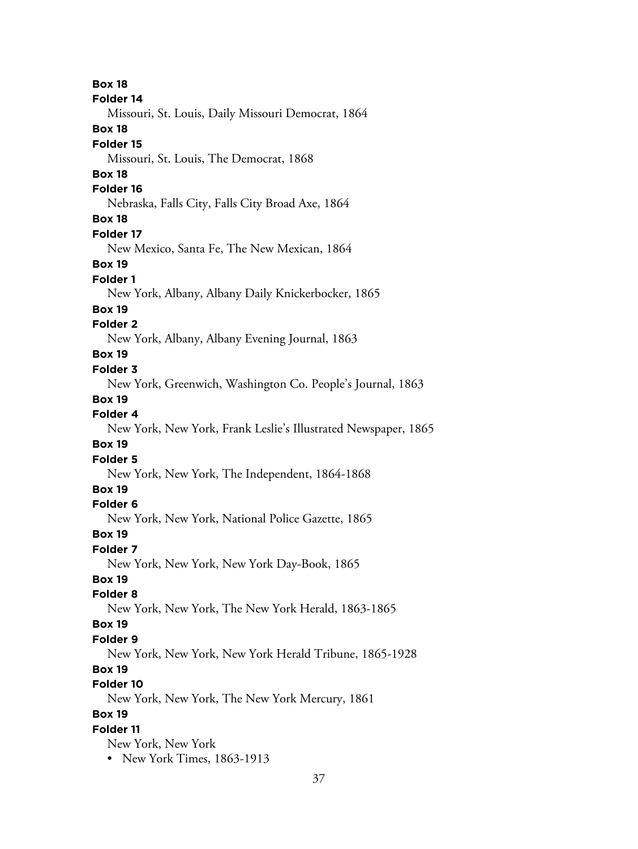**Box 18 Folder 14** Missouri, St. Louis, Daily Missouri Democrat, 1864 **Box 18 Folder 15** Missouri, St. Louis, The Democrat, 1868 **Box 18 Folder 16** Nebraska, Falls City, Falls City Broad Axe, 1864 **Box 18 Folder 17** New Mexico, Santa Fe, The New Mexican, 1864 **Box 19 Folder 1** New York, Albany, Albany Daily Knickerbocker, 1865 **Box 19 Folder 2** New York, Albany, Albany Evening Journal, 1863 **Box 19 Folder 3** New York, Greenwich, Washington Co. People's Journal, 1863 **Box 19 Folder 4** New York, New York, Frank Leslie's Illustrated Newspaper, 1865 **Box 19 Folder 5** New York, New York, The Independent, 1864-1868 **Box 19 Folder 6** New York, New York, National Police Gazette, 1865 **Box 19 Folder 7** New York, New York, New York Day-Book, 1865 **Box 19 Folder 8** New York, New York, The New York Herald, 1863-1865 **Box 19 Folder 9** New York, New York, New York Herald Tribune, 1865-1928 **Box 19 Folder 10** New York, New York, The New York Mercury, 1861 **Box 19 Folder 11** New York, New York • New York Times, 1863-1913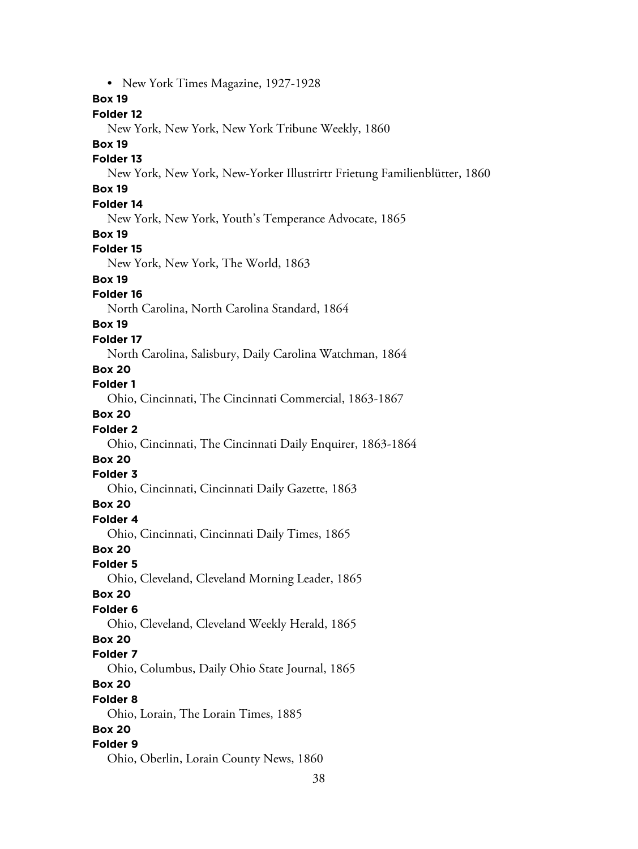38 • New York Times Magazine, 1927-1928 **Box 19 Folder 12** New York, New York, New York Tribune Weekly, 1860 **Box 19 Folder 13** New York, New York, New-Yorker Illustrirtr Frietung Familienblütter, 1860 **Box 19 Folder 14** New York, New York, Youth's Temperance Advocate, 1865 **Box 19 Folder 15** New York, New York, The World, 1863 **Box 19 Folder 16** North Carolina, North Carolina Standard, 1864 **Box 19 Folder 17** North Carolina, Salisbury, Daily Carolina Watchman, 1864 **Box 20 Folder 1** Ohio, Cincinnati, The Cincinnati Commercial, 1863-1867 **Box 20 Folder 2** Ohio, Cincinnati, The Cincinnati Daily Enquirer, 1863-1864 **Box 20 Folder 3** Ohio, Cincinnati, Cincinnati Daily Gazette, 1863 **Box 20 Folder 4** Ohio, Cincinnati, Cincinnati Daily Times, 1865 **Box 20 Folder 5** Ohio, Cleveland, Cleveland Morning Leader, 1865 **Box 20 Folder 6** Ohio, Cleveland, Cleveland Weekly Herald, 1865 **Box 20 Folder 7** Ohio, Columbus, Daily Ohio State Journal, 1865 **Box 20 Folder 8** Ohio, Lorain, The Lorain Times, 1885 **Box 20 Folder 9** Ohio, Oberlin, Lorain County News, 1860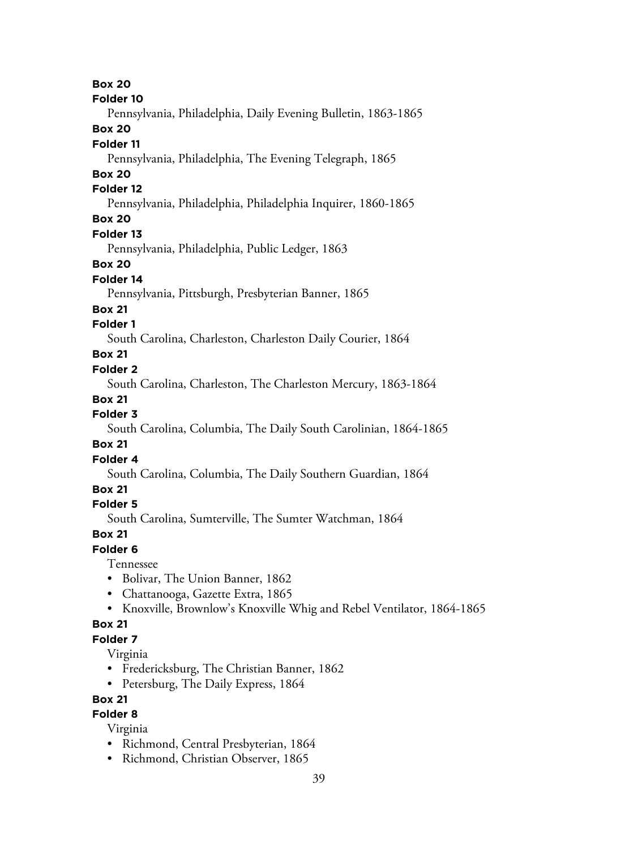**Box 20 Folder 10** Pennsylvania, Philadelphia, Daily Evening Bulletin, 1863-1865 **Box 20 Folder 11** Pennsylvania, Philadelphia, The Evening Telegraph, 1865 **Box 20 Folder 12** Pennsylvania, Philadelphia, Philadelphia Inquirer, 1860-1865 **Box 20 Folder 13** Pennsylvania, Philadelphia, Public Ledger, 1863 **Box 20 Folder 14** Pennsylvania, Pittsburgh, Presbyterian Banner, 1865 **Box 21 Folder 1** South Carolina, Charleston, Charleston Daily Courier, 1864 **Box 21 Folder 2** South Carolina, Charleston, The Charleston Mercury, 1863-1864 **Box 21 Folder 3** South Carolina, Columbia, The Daily South Carolinian, 1864-1865 **Box 21 Folder 4** South Carolina, Columbia, The Daily Southern Guardian, 1864 **Box 21 Folder 5** South Carolina, Sumterville, The Sumter Watchman, 1864 **Box 21 Folder 6** Tennessee • Bolivar, The Union Banner, 1862 • Chattanooga, Gazette Extra, 1865

• Knoxville, Brownlow's Knoxville Whig and Rebel Ventilator, 1864-1865

### **Box 21**

### **Folder 7**

Virginia

- Fredericksburg, The Christian Banner, 1862
- Petersburg, The Daily Express, 1864

### **Box 21**

### **Folder 8**

Virginia

- Richmond, Central Presbyterian, 1864
- Richmond, Christian Observer, 1865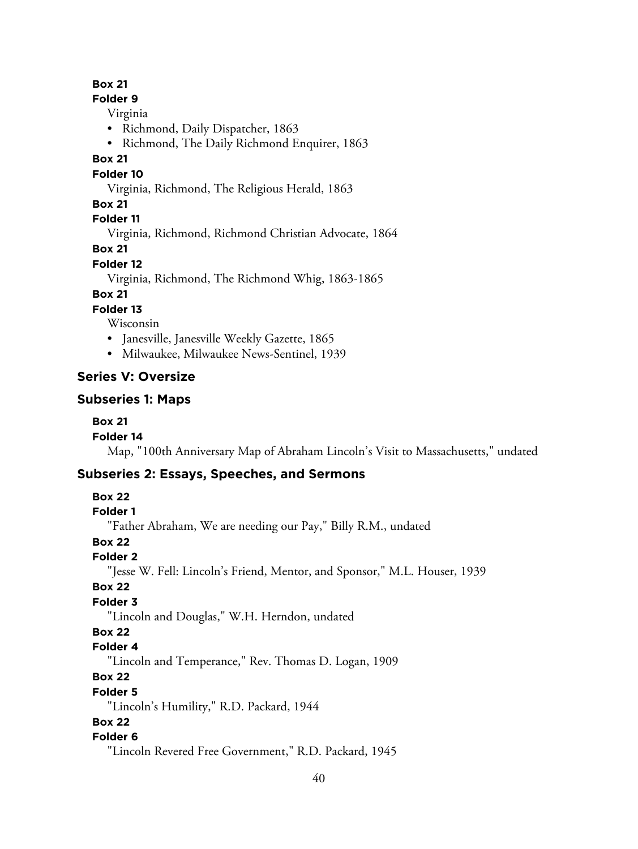### **Box 21**

#### **Folder 9**

Virginia

- Richmond, Daily Dispatcher, 1863
- Richmond, The Daily Richmond Enquirer, 1863

### **Box 21**

#### **Folder 10**

Virginia, Richmond, The Religious Herald, 1863

### **Box 21**

**Folder 11**

Virginia, Richmond, Richmond Christian Advocate, 1864

**Box 21**

### **Folder 12**

Virginia, Richmond, The Richmond Whig, 1863-1865

### **Box 21**

**Folder 13**

Wisconsin

- Janesville, Janesville Weekly Gazette, 1865
- Milwaukee, Milwaukee News-Sentinel, 1939

### **Series V: Oversize**

### **Subseries 1: Maps**

### **Box 21**

**Folder 14**

Map, "100th Anniversary Map of Abraham Lincoln's Visit to Massachusetts," undated

### **Subseries 2: Essays, Speeches, and Sermons**

**Box 22**

### **Folder 1**

"Father Abraham, We are needing our Pay," Billy R.M., undated

### **Box 22**

**Folder 2**

"Jesse W. Fell: Lincoln's Friend, Mentor, and Sponsor," M.L. Houser, 1939

### **Box 22**

### **Folder 3**

"Lincoln and Douglas," W.H. Herndon, undated

### **Box 22**

### **Folder 4**

"Lincoln and Temperance," Rev. Thomas D. Logan, 1909

### **Box 22**

**Folder 5**

"Lincoln's Humility," R.D. Packard, 1944

### **Box 22**

### **Folder 6**

"Lincoln Revered Free Government," R.D. Packard, 1945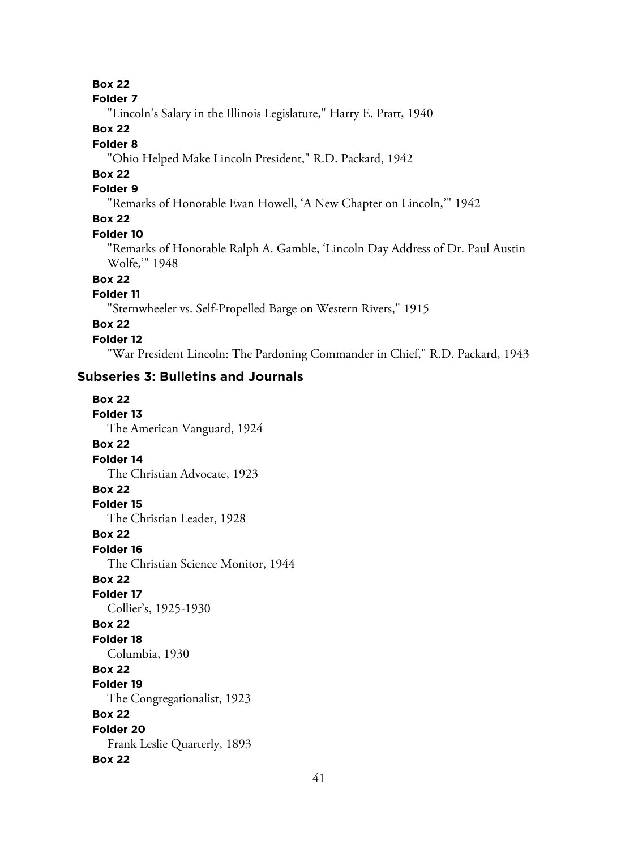**Box 22**

#### **Folder 7**

"Lincoln's Salary in the Illinois Legislature," Harry E. Pratt, 1940

### **Box 22**

### **Folder 8**

"Ohio Helped Make Lincoln President," R.D. Packard, 1942

## **Box 22**

### **Folder 9**

"Remarks of Honorable Evan Howell, 'A New Chapter on Lincoln,'" 1942

### **Box 22**

#### **Folder 10**

"Remarks of Honorable Ralph A. Gamble, 'Lincoln Day Address of Dr. Paul Austin Wolfe,'" 1948

### **Box 22**

### **Folder 11**

"Sternwheeler vs. Self-Propelled Barge on Western Rivers," 1915

### **Box 22**

#### **Folder 12**

"War President Lincoln: The Pardoning Commander in Chief," R.D. Packard, 1943

### **Subseries 3: Bulletins and Journals**

### **Box 22 Folder 13** The American Vanguard, 1924 **Box 22 Folder 14** The Christian Advocate, 1923 **Box 22 Folder 15** The Christian Leader, 1928 **Box 22 Folder 16** The Christian Science Monitor, 1944 **Box 22 Folder 17** Collier's, 1925-1930 **Box 22 Folder 18** Columbia, 1930 **Box 22 Folder 19** The Congregationalist, 1923 **Box 22 Folder 20** Frank Leslie Quarterly, 1893 **Box 22**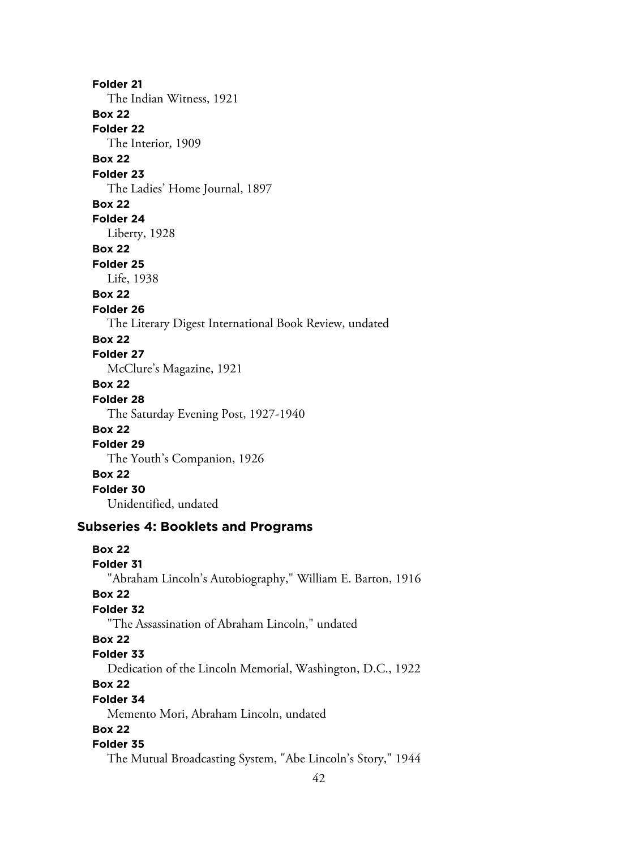**Folder 21** The Indian Witness, 1921 **Box 22 Folder 22** The Interior, 1909 **Box 22 Folder 23** The Ladies' Home Journal, 1897 **Box 22 Folder 24** Liberty, 1928 **Box 22 Folder 25** Life, 1938 **Box 22 Folder 26** The Literary Digest International Book Review, undated **Box 22 Folder 27** McClure's Magazine, 1921 **Box 22 Folder 28** The Saturday Evening Post, 1927-1940 **Box 22 Folder 29** The Youth's Companion, 1926 **Box 22 Folder 30** Unidentified, undated **Subseries 4: Booklets and Programs Box 22**

### **Folder 31** "Abraham Lincoln's Autobiography," William E. Barton, 1916 **Box 22 Folder 32** "The Assassination of Abraham Lincoln," undated **Box 22 Folder 33** Dedication of the Lincoln Memorial, Washington, D.C., 1922 **Box 22 Folder 34** Memento Mori, Abraham Lincoln, undated **Box 22 Folder 35** The Mutual Broadcasting System, "Abe Lincoln's Story," 1944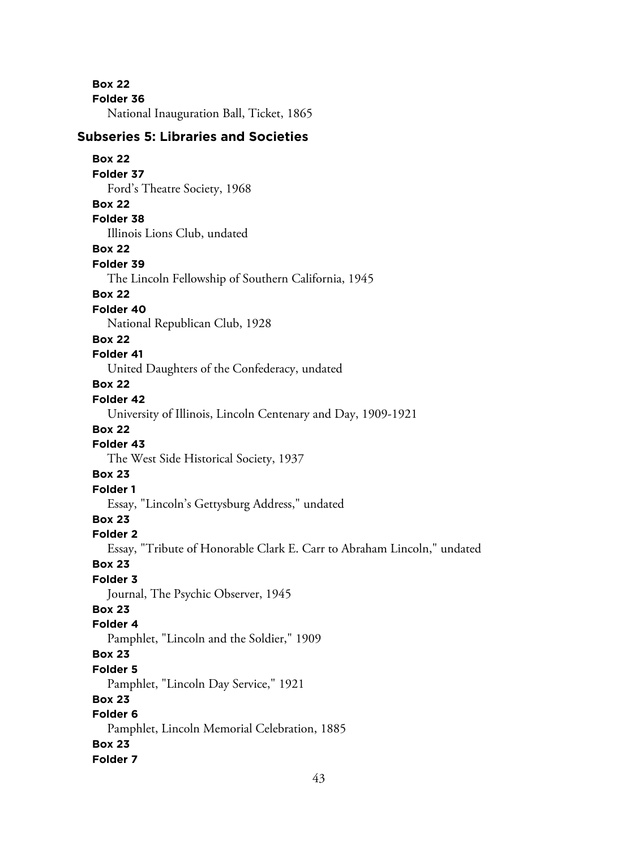**Box 22 Folder 36**

National Inauguration Ball, Ticket, 1865

### **Subseries 5: Libraries and Societies**

### **Box 22 Folder 37** Ford's Theatre Society, 1968 **Box 22 Folder 38** Illinois Lions Club, undated **Box 22 Folder 39** The Lincoln Fellowship of Southern California, 1945 **Box 22 Folder 40**

National Republican Club, 1928

#### **Box 22**

### **Folder 41**

United Daughters of the Confederacy, undated

### **Box 22**

### **Folder 42**

University of Illinois, Lincoln Centenary and Day, 1909-1921

### **Box 22**

### **Folder 43**

The West Side Historical Society, 1937

### **Box 23**

**Folder 1**

Essay, "Lincoln's Gettysburg Address," undated

### **Box 23**

### **Folder 2**

Essay, "Tribute of Honorable Clark E. Carr to Abraham Lincoln," undated

#### **Box 23**

### **Folder 3**

Journal, The Psychic Observer, 1945

### **Box 23**

#### **Folder 4**

Pamphlet, "Lincoln and the Soldier," 1909

### **Box 23**

### **Folder 5**

Pamphlet, "Lincoln Day Service," 1921

### **Box 23**

### **Folder 6**

Pamphlet, Lincoln Memorial Celebration, 1885 **Box 23**

### **Folder 7**